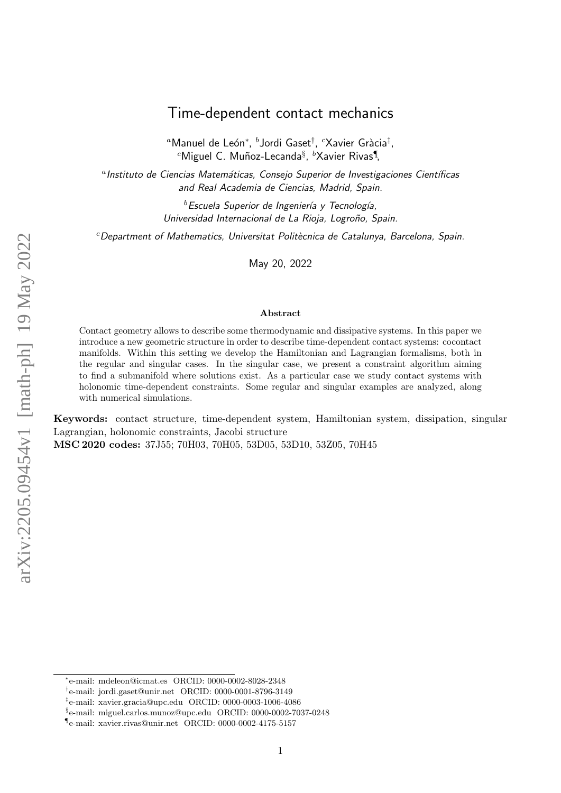# Time-dependent contact mechanics

 $^a$ Manuel de León $^*,\ ^b$ Jordi Gaset $^\dagger,\ ^c$ Xavier Gràcia $^\ddagger,$  $^c$ Miguel C. Muñoz-Lecanda $\mathrm{^8},~^b$ Xavier Rivas $\P$ ,

<sup>a</sup> Instituto de Ciencias Matemáticas, Consejo Superior de Investigaciones Científicas and Real Academia de Ciencias, Madrid, Spain.

> $^b$ Escuela Superior de Ingeniería y Tecnología, Universidad Internacional de La Rioja, Logroño, Spain.

 $c$ Department of Mathematics, Universitat Politècnica de Catalunya, Barcelona, Spain.

May 20, 2022

#### Abstract

Contact geometry allows to describe some thermodynamic and dissipative systems. In this paper we introduce a new geometric structure in order to describe time-dependent contact systems: cocontact manifolds. Within this setting we develop the Hamiltonian and Lagrangian formalisms, both in the regular and singular cases. In the singular case, we present a constraint algorithm aiming to find a submanifold where solutions exist. As a particular case we study contact systems with holonomic time-dependent constraints. Some regular and singular examples are analyzed, along with numerical simulations.

Keywords: contact structure, time-dependent system, Hamiltonian system, dissipation, singular Lagrangian, holonomic constraints, Jacobi structure MSC 2020 codes: 37J55; 70H03, 70H05, 53D05, 53D10, 53Z05, 70H45

<sup>∗</sup> e-mail: mdeleon@icmat.es ORCID: 0000-0002-8028-2348

<sup>†</sup> e-mail: jordi.gaset@unir.net ORCID: 0000-0001-8796-3149

<sup>‡</sup> e-mail: xavier.gracia@upc.edu ORCID: 0000-0003-1006-4086

<sup>§</sup> e-mail: miguel.carlos.munoz@upc.edu ORCID: 0000-0002-7037-0248

<sup>¶</sup> e-mail: xavier.rivas@unir.net ORCID: 0000-0002-4175-5157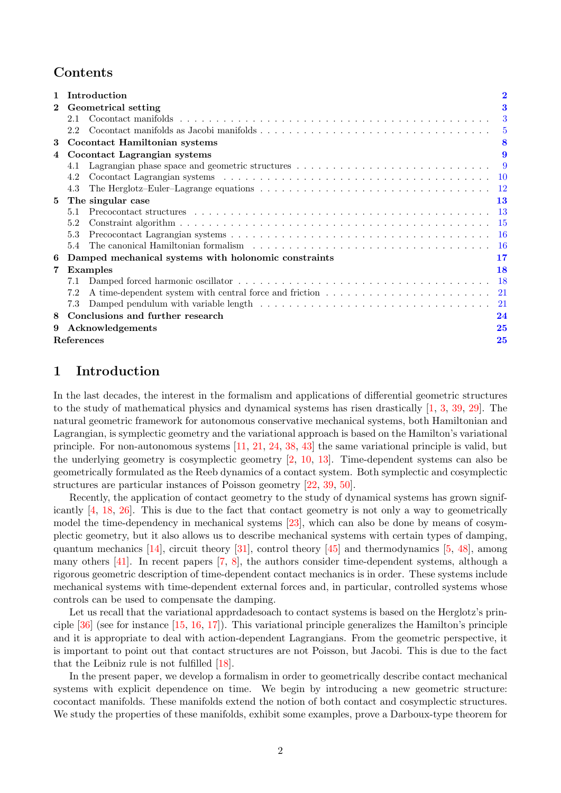## Contents

|              |                  | Introduction                                         |    |  |
|--------------|------------------|------------------------------------------------------|----|--|
| $\mathbf{2}$ |                  | Geometrical setting<br>3                             |    |  |
|              | 2.1              |                                                      | 3  |  |
|              | 2.2              |                                                      |    |  |
| 3            |                  | <b>Cocontact Hamiltonian systems</b>                 |    |  |
| 4            |                  | Cocontact Lagrangian systems                         |    |  |
|              | 4.1              |                                                      |    |  |
|              | 4.2              |                                                      |    |  |
|              | 4.3              |                                                      |    |  |
| 5            |                  | The singular case                                    | 13 |  |
|              | 5.1              |                                                      |    |  |
|              | 5.2              |                                                      |    |  |
|              | 5.3              |                                                      |    |  |
|              | 5.4              |                                                      |    |  |
| 6            |                  | Damped mechanical systems with holonomic constraints | 17 |  |
| 7            |                  | <b>Examples</b>                                      | 18 |  |
|              | 7.1              |                                                      |    |  |
|              | 7.2              |                                                      |    |  |
|              | 7.3              |                                                      |    |  |
| 8            |                  | Conclusions and further research                     | 24 |  |
| 9            | Acknowledgements |                                                      |    |  |
|              | References<br>25 |                                                      |    |  |

## <span id="page-1-0"></span>1 Introduction

In the last decades, the interest in the formalism and applications of differential geometric structures to the study of mathematical physics and dynamical systems has risen drastically [\[1,](#page-24-2) [3,](#page-24-3) [39,](#page-26-0) [29\]](#page-26-1). The natural geometric framework for autonomous conservative mechanical systems, both Hamiltonian and Lagrangian, is symplectic geometry and the variational approach is based on the Hamilton's variational principle. For non-autonomous systems [\[11,](#page-25-0) [21,](#page-25-1) [24,](#page-25-2) [38,](#page-26-2) [43\]](#page-27-0) the same variational principle is valid, but the underlying geometry is cosymplectic geometry [\[2,](#page-24-4) [10,](#page-25-3) [13\]](#page-25-4). Time-dependent systems can also be geometrically formulated as the Reeb dynamics of a contact system. Both symplectic and cosymplectic structures are particular instances of Poisson geometry [\[22,](#page-25-5) [39,](#page-26-0) [50\]](#page-27-1).

Recently, the application of contact geometry to the study of dynamical systems has grown significantly [\[4,](#page-24-5) [18,](#page-25-6) [26\]](#page-26-3). This is due to the fact that contact geometry is not only a way to geometrically model the time-dependency in mechanical systems [\[23\]](#page-25-7), which can also be done by means of cosymplectic geometry, but it also allows us to describe mechanical systems with certain types of damping, quantum mechanics [\[14\]](#page-25-8), circuit theory [\[31\]](#page-26-4), control theory [\[45\]](#page-27-2) and thermodynamics [\[5,](#page-24-6) [48\]](#page-27-3), among many others [\[41\]](#page-26-5). In recent papers [\[7,](#page-24-7) [8\]](#page-24-8), the authors consider time-dependent systems, although a rigorous geometric description of time-dependent contact mechanics is in order. These systems include mechanical systems with time-dependent external forces and, in particular, controlled systems whose controls can be used to compensate the damping.

Let us recall that the variational apprdadesoach to contact systems is based on the Herglotz's principle  $[36]$  (see for instance  $[15, 16, 17]$  $[15, 16, 17]$  $[15, 16, 17]$  $[15, 16, 17]$ ). This variational principle generalizes the Hamilton's principle and it is appropriate to deal with action-dependent Lagrangians. From the geometric perspective, it is important to point out that contact structures are not Poisson, but Jacobi. This is due to the fact that the Leibniz rule is not fulfilled [\[18\]](#page-25-6).

In the present paper, we develop a formalism in order to geometrically describe contact mechanical systems with explicit dependence on time. We begin by introducing a new geometric structure: cocontact manifolds. These manifolds extend the notion of both contact and cosymplectic structures. We study the properties of these manifolds, exhibit some examples, prove a Darboux-type theorem for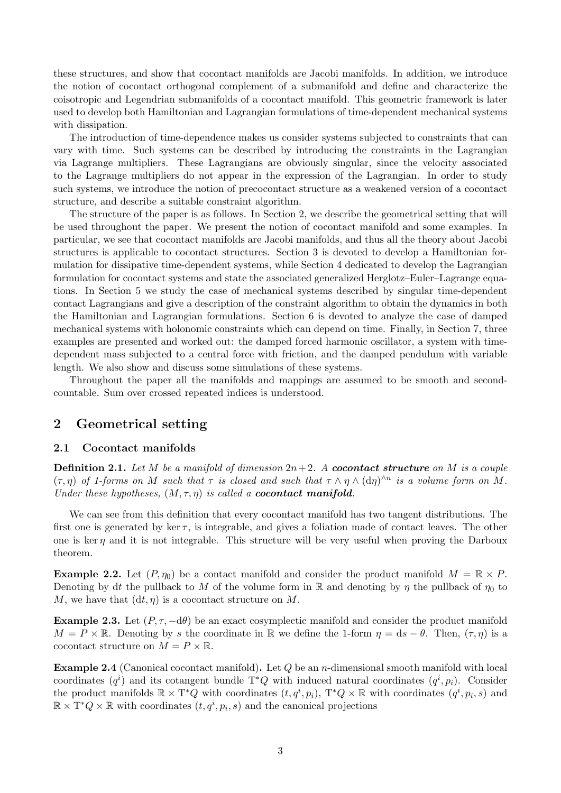these structures, and show that cocontact manifolds are Jacobi manifolds. In addition, we introduce the notion of cocontact orthogonal complement of a submanifold and define and characterize the coisotropic and Legendrian submanifolds of a cocontact manifold. This geometric framework is later used to develop both Hamiltonian and Lagrangian formulations of time-dependent mechanical systems with dissipation.

The introduction of time-dependence makes us consider systems subjected to constraints that can vary with time. Such systems can be described by introducing the constraints in the Lagrangian via Lagrange multipliers. These Lagrangians are obviously singular, since the velocity associated to the Lagrange multipliers do not appear in the expression of the Lagrangian. In order to study such systems, we introduce the notion of precocontact structure as a weakened version of a cocontact structure, and describe a suitable constraint algorithm.

The structure of the paper is as follows. In Section 2, we describe the geometrical setting that will be used throughout the paper. We present the notion of cocontact manifold and some examples. In particular, we see that cocontact manifolds are Jacobi manifolds, and thus all the theory about Jacobi structures is applicable to cocontact structures. Section 3 is devoted to develop a Hamiltonian formulation for dissipative time-dependent systems, while Section 4 dedicated to develop the Lagrangian formulation for cocontact systems and state the associated generalized Herglotz–Euler–Lagrange equations. In Section 5 we study the case of mechanical systems described by singular time-dependent contact Lagrangians and give a description of the constraint algorithm to obtain the dynamics in both the Hamiltonian and Lagrangian formulations. Section 6 is devoted to analyze the case of damped mechanical systems with holonomic constraints which can depend on time. Finally, in Section 7, three examples are presented and worked out: the damped forced harmonic oscillator, a system with timedependent mass subjected to a central force with friction, and the damped pendulum with variable length. We also show and discuss some simulations of these systems.

Throughout the paper all the manifolds and mappings are assumed to be smooth and secondcountable. Sum over crossed repeated indices is understood.

## <span id="page-2-0"></span>2 Geometrical setting

#### <span id="page-2-1"></span>2.1 Cocontact manifolds

<span id="page-2-3"></span>**Definition 2.1.** Let M be a manifold of dimension  $2n+2$ . A **cocontact structure** on M is a couple  $(\tau, \eta)$  of 1-forms on M such that  $\tau$  is closed and such that  $\tau \wedge \eta \wedge (d\eta)^{\wedge n}$  is a volume form on M. Under these hypotheses,  $(M, \tau, \eta)$  is called a **cocontact manifold**.

We can see from this definition that every cocontact manifold has two tangent distributions. The first one is generated by ker  $\tau$ , is integrable, and gives a foliation made of contact leaves. The other one is ker  $\eta$  and it is not integrable. This structure will be very useful when proving the Darboux theorem.

**Example 2.2.** Let  $(P, \eta_0)$  be a contact manifold and consider the product manifold  $M = \mathbb{R} \times P$ . Denoting by dt the pullback to M of the volume form in R and denoting by  $\eta$  the pullback of  $\eta_0$  to M, we have that  $(dt, \eta)$  is a cocontact structure on M.

**Example 2.3.** Let  $(P, \tau, -d\theta)$  be an exact cosymplectic manifold and consider the product manifold  $M = P \times \mathbb{R}$ . Denoting by s the coordinate in R we define the 1-form  $\eta = ds - \theta$ . Then,  $(\tau, \eta)$  is a cocontact structure on  $M = P \times \mathbb{R}$ .

<span id="page-2-2"></span>**Example 2.4** (Canonical cocontact manifold). Let  $Q$  be an *n*-dimensional smooth manifold with local coordinates  $(q<sup>i</sup>)$  and its cotangent bundle T<sup>\*</sup>Q with induced natural coordinates  $(q<sup>i</sup>, p<sub>i</sub>)$ . Consider the product manifolds  $\mathbb{R} \times \mathbb{T}^*Q$  with coordinates  $(t, q^i, p_i)$ ,  $\mathbb{T}^*Q \times \mathbb{R}$  with coordinates  $(q^i, p_i, s)$  and  $\mathbb{R} \times \mathrm{T}^*Q \times \mathbb{R}$  with coordinates  $(t, q^i, p_i, s)$  and the canonical projections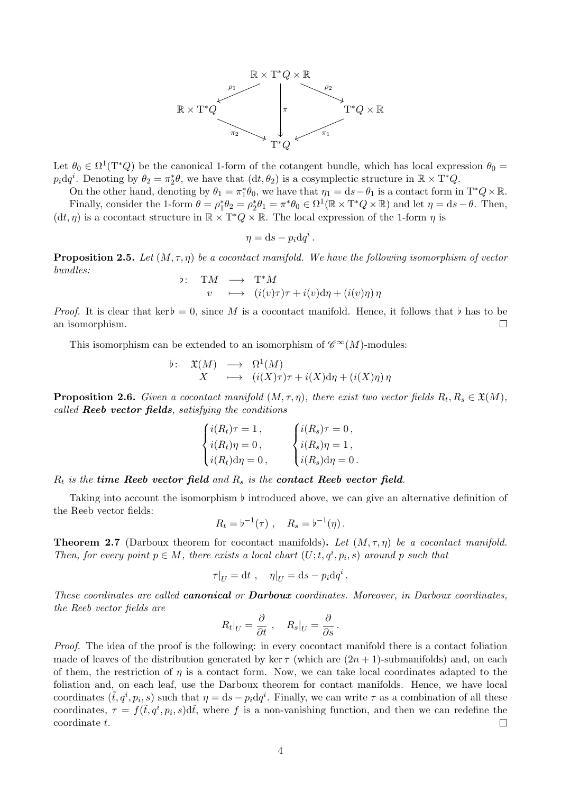

Let  $\theta_0 \in \Omega^1(\mathbb{T}^*Q)$  be the canonical 1-form of the cotangent bundle, which has local expression  $\theta_0 =$  $p_i dq^i$ . Denoting by  $\theta_2 = \pi_2^* \theta$ , we have that  $(dt, \theta_2)$  is a cosymplectic structure in  $\mathbb{R} \times T^* Q$ .

On the other hand, denoting by  $\theta_1 = \pi_1^* \theta_0$ , we have that  $\eta_1 = ds - \theta_1$  is a contact form in  $T^*Q \times \mathbb{R}$ . Finally, consider the 1-form  $\theta = \rho_1^* \theta_2 = \rho_2^* \theta_1 = \pi^* \theta_0 \in \Omega^1(\mathbb{R} \times \mathbb{T}^* Q \times \mathbb{R})$  and let  $\eta = ds - \theta$ . Then,  $(dt, \eta)$  is a cocontact structure in  $\mathbb{R} \times T^*Q \times \mathbb{R}$ . The local expression of the 1-form  $\eta$  is

$$
\eta = \mathrm{d}s - p_i \mathrm{d}q^i.
$$

**Proposition 2.5.** Let  $(M, \tau, \eta)$  be a cocontact manifold. We have the following isomorphism of vector bundles:

b: TM 
$$
\longrightarrow
$$
 T<sup>\*</sup>M  
v  $\longmapsto$   $(i(v)\tau)\tau + i(v)d\eta + (i(v)\eta)\eta$ 

*Proof.* It is clear that ker $\flat = 0$ , since M is a cocontact manifold. Hence, it follows that  $\flat$  has to be an isomorphism.  $\Box$ 

This isomorphism can be extended to an isomorphism of  $\mathscr{C}^{\infty}(M)$ -modules:

$$
\begin{array}{rcl}\n\flat: & \mathfrak{X}(M) & \longrightarrow & \Omega^1(M) \\
X & \longmapsto & (i(X)\tau)\tau + i(X)\mathrm{d}\eta + (i(X)\eta)\,\eta\n\end{array}
$$

<span id="page-3-1"></span>**Proposition 2.6.** Given a cocontact manifold  $(M, \tau, \eta)$ , there exist two vector fields  $R_t, R_s \in \mathfrak{X}(M)$ , called Reeb vector fields, satisfying the conditions

$$
\begin{cases}\ni(R_t)\tau = 1, \\
i(R_t)\eta = 0, \\
i(R_t)\mathrm{d}\eta = 0, \\
i(R_s)\mathrm{d}\eta = 0.\n\end{cases}\n\begin{cases}\ni(R_s)\tau = 0, \\
i(R_s)\eta = 1, \\
i(R_s)\mathrm{d}\eta = 0.\n\end{cases}
$$

 $R_t$  is the time Reeb vector field and  $R_s$  is the contact Reeb vector field.

Taking into account the isomorphism  $\flat$  introduced above, we can give an alternative definition of the Reeb vector fields:

$$
R_t = b^{-1}(\tau) , \quad R_s = b^{-1}(\eta) .
$$

<span id="page-3-0"></span>**Theorem 2.7** (Darboux theorem for cocontact manifolds). Let  $(M, \tau, \eta)$  be a cocontact manifold. Then, for every point  $p \in M$ , there exists a local chart  $(U; t, q^i, p_i, s)$  around p such that

$$
\tau|_U = dt , \quad \eta|_U = ds - p_i dq^i
$$

.

These coordinates are called **canonical** or **Darboux** coordinates. Moreover, in Darboux coordinates, the Reeb vector fields are

$$
R_t|_U = \frac{\partial}{\partial t}, \quad R_s|_U = \frac{\partial}{\partial s}.
$$

Proof. The idea of the proof is the following: in every cocontact manifold there is a contact foliation made of leaves of the distribution generated by ker  $\tau$  (which are  $(2n + 1)$ -submanifolds) and, on each of them, the restriction of  $\eta$  is a contact form. Now, we can take local coordinates adapted to the foliation and, on each leaf, use the Darboux theorem for contact manifolds. Hence, we have local coordinates  $(\tilde{t}, q^i, p_i, s)$  such that  $\eta = ds - p_i dq^i$ . Finally, we can write  $\tau$  as a combination of all these coordinates,  $\tau = f(\tilde{t}, q^i, p_i, s) d\tilde{t}$ , where f is a non-vanishing function, and then we can redefine the coordinate t.  $\Box$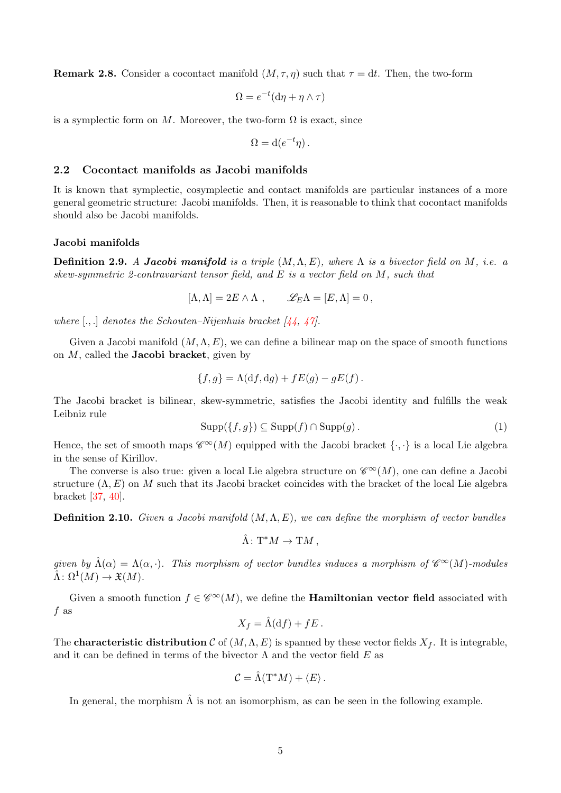**Remark 2.8.** Consider a cocontact manifold  $(M, \tau, \eta)$  such that  $\tau = dt$ . Then, the two-form

$$
\Omega = e^{-t} (\mathrm{d}\eta + \eta \wedge \tau)
$$

is a symplectic form on M. Moreover, the two-form  $\Omega$  is exact, since

$$
\Omega = \mathrm{d}(e^{-t}\eta) \, .
$$

#### <span id="page-4-0"></span>2.2 Cocontact manifolds as Jacobi manifolds

It is known that symplectic, cosymplectic and contact manifolds are particular instances of a more general geometric structure: Jacobi manifolds. Then, it is reasonable to think that cocontact manifolds should also be Jacobi manifolds.

#### Jacobi manifolds

**Definition 2.9.** A Jacobi manifold is a triple  $(M, \Lambda, E)$ , where  $\Lambda$  is a bivector field on M, i.e. a skew-symmetric 2-contravariant tensor field, and E is a vector field on M, such that

 $[\Lambda, \Lambda] = 2E \wedge \Lambda$ ,  $\mathscr{L}_E \Lambda = [E, \Lambda] = 0$ ,

where  $[.,.]$  denotes the Schouten–Nijenhuis bracket  $[44, 47]$  $[44, 47]$  $[44, 47]$ .

Given a Jacobi manifold  $(M, \Lambda, E)$ , we can define a bilinear map on the space of smooth functions on  $M$ , called the **Jacobi bracket**, given by

$$
\{f,g\} = \Lambda(df,dg) + fE(g) - gE(f).
$$

<span id="page-4-1"></span>The Jacobi bracket is bilinear, skew-symmetric, satisfies the Jacobi identity and fulfills the weak Leibniz rule

$$
Supp(\lbrace f, g \rbrace) \subseteq Supp(f) \cap Supp(g).
$$
 (1)

Hence, the set of smooth maps  $\mathscr{C}^{\infty}(M)$  equipped with the Jacobi bracket  $\{\cdot,\cdot\}$  is a local Lie algebra in the sense of Kirillov.

The converse is also true: given a local Lie algebra structure on  $\mathscr{C}^{\infty}(M)$ , one can define a Jacobi structure  $(\Lambda, E)$  on M such that its Jacobi bracket coincides with the bracket of the local Lie algebra bracket [\[37,](#page-26-7) [40\]](#page-26-8).

**Definition 2.10.** Given a Jacobi manifold  $(M, \Lambda, E)$ , we can define the morphism of vector bundles

$$
\hat{\Lambda} \colon \mathrm{T}^*M \to \mathrm{T}M \,,
$$

given by  $\hat{\Lambda}(\alpha) = \Lambda(\alpha, \cdot)$ . This morphism of vector bundles induces a morphism of  $\mathscr{C}^{\infty}(M)$ -modules  $\hat{\Lambda}: \Omega^1(M) \to \mathfrak{X}(M).$ 

Given a smooth function  $f \in \mathscr{C}^{\infty}(M)$ , we define the **Hamiltonian vector field** associated with f as

$$
X_f = \hat{\Lambda}(\mathrm{d}f) + fE.
$$

The **characteristic distribution** C of  $(M, \Lambda, E)$  is spanned by these vector fields  $X_f$ . It is integrable, and it can be defined in terms of the bivector  $\Lambda$  and the vector field E as

$$
\mathcal{C} = \hat{\Lambda}(\mathrm{T}^*M) + \langle E \rangle \,.
$$

In general, the morphism  $\hat{\Lambda}$  is not an isomorphism, as can be seen in the following example.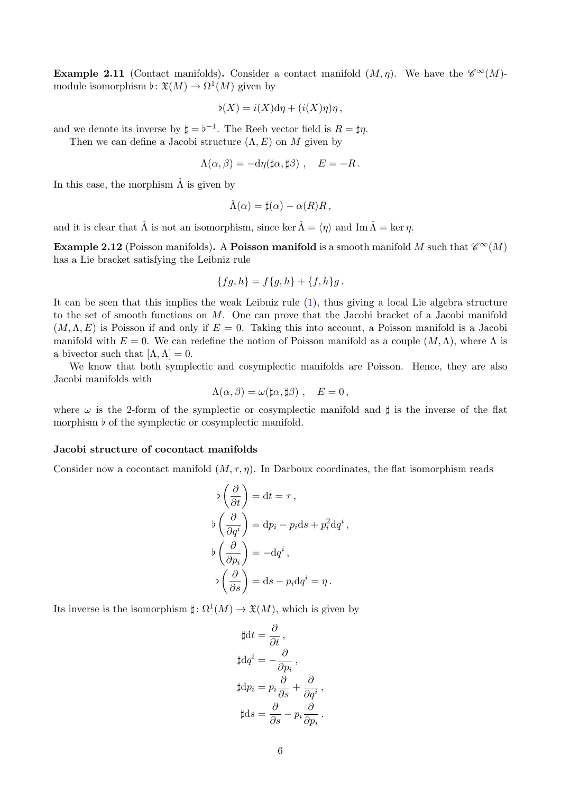**Example 2.11** (Contact manifolds). Consider a contact manifold  $(M, \eta)$ . We have the  $\mathscr{C}^{\infty}(M)$ module isomorphism  $\flat \colon \mathfrak{X}(M) \to \Omega^1(M)$  given by

$$
\flat(X) = i(X) \mathrm{d}\eta + (i(X)\eta)\eta \,,
$$

and we denote its inverse by  $\sharp = b^{-1}$ . The Reeb vector field is  $R = \sharp \eta$ .

Then we can define a Jacobi structure  $(\Lambda, E)$  on M given by

$$
\Lambda(\alpha,\beta) = -d\eta(\sharp\alpha,\sharp\beta) , \quad E = -R.
$$

In this case, the morphism  $\hat{\Lambda}$  is given by

$$
\hat{\Lambda}(\alpha) = \sharp(\alpha) - \alpha(R)R \,,
$$

and it is clear that  $\hat{\Lambda}$  is not an isomorphism, since ker  $\hat{\Lambda} = \langle \eta \rangle$  and Im  $\hat{\Lambda} = \ker \eta$ .

**Example 2.12** (Poisson manifolds). A **Poisson manifold** is a smooth manifold M such that  $\mathscr{C}^{\infty}(M)$ has a Lie bracket satisfying the Leibniz rule

$$
\{fg, h\} = f\{g, h\} + \{f, h\}g.
$$

It can be seen that this implies the weak Leibniz rule [\(1\)](#page-4-1), thus giving a local Lie algebra structure to the set of smooth functions on M. One can prove that the Jacobi bracket of a Jacobi manifold  $(M, \Lambda, E)$  is Poisson if and only if  $E = 0$ . Taking this into account, a Poisson manifold is a Jacobi manifold with  $E = 0$ . We can redefine the notion of Poisson manifold as a couple  $(M, \Lambda)$ , where  $\Lambda$  is a bivector such that  $[\Lambda, \Lambda] = 0$ .

We know that both symplectic and cosymplectic manifolds are Poisson. Hence, they are also Jacobi manifolds with

$$
\Lambda(\alpha,\beta) = \omega(\sharp \alpha,\sharp \beta) \ , \quad E=0 \,,
$$

where  $\omega$  is the 2-form of the symplectic or cosymplectic manifold and  $\sharp$  is the inverse of the flat morphism  $\flat$  of the symplectic or cosymplectic manifold.

#### Jacobi structure of cocontact manifolds

Consider now a cocontact manifold  $(M, \tau, \eta)$ . In Darboux coordinates, the flat isomorphism reads

$$
\begin{aligned}\n\flat \left( \frac{\partial}{\partial t} \right) &= \mathrm{d}t = \tau \,, \\
\flat \left( \frac{\partial}{\partial q^i} \right) &= \mathrm{d}p_i - p_i \mathrm{d}s + p_i^2 \mathrm{d}q^i \,, \\
\flat \left( \frac{\partial}{\partial p_i} \right) &= -\mathrm{d}q^i \,, \\
\flat \left( \frac{\partial}{\partial s} \right) &= \mathrm{d}s - p_i \mathrm{d}q^i = \eta \,. \n\end{aligned}
$$

Its inverse is the isomorphism  $\sharp : \Omega^1(M) \to \mathfrak{X}(M)$ , which is given by

$$
\sharp dt = \frac{\partial}{\partial t},
$$
  
\n
$$
\sharp dq^{i} = -\frac{\partial}{\partial p_{i}},
$$
  
\n
$$
\sharp dp_{i} = p_{i} \frac{\partial}{\partial s} + \frac{\partial}{\partial q^{i}},
$$
  
\n
$$
\sharp ds = \frac{\partial}{\partial s} - p_{i} \frac{\partial}{\partial p_{i}}.
$$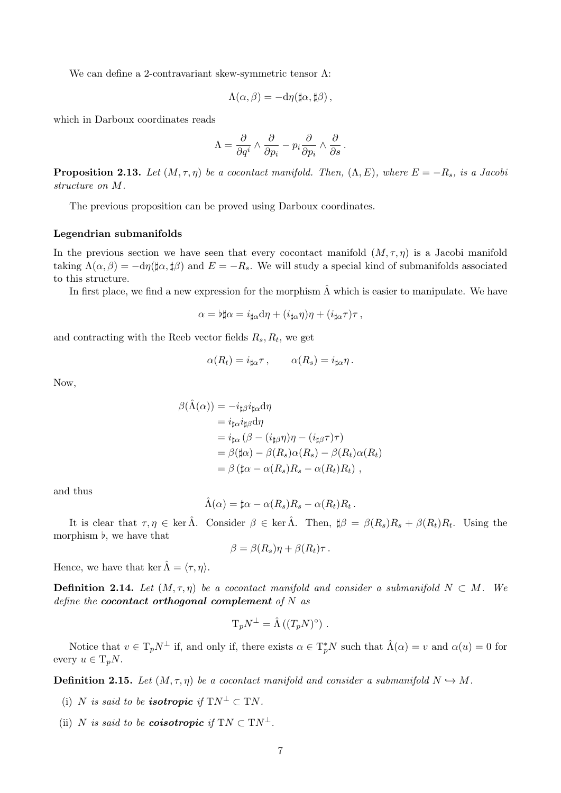We can define a 2-contravariant skew-symmetric tensor Λ:

$$
\Lambda(\alpha,\beta)=-\mathrm{d}\eta(\sharp\alpha,\sharp\beta)\,,
$$

which in Darboux coordinates reads

$$
\Lambda = \frac{\partial}{\partial q^i} \wedge \frac{\partial}{\partial p_i} - p_i \frac{\partial}{\partial p_i} \wedge \frac{\partial}{\partial s}.
$$

**Proposition 2.13.** Let  $(M, \tau, \eta)$  be a cocontact manifold. Then,  $(\Lambda, E)$ , where  $E = -R_s$ , is a Jacobi structure on M.

The previous proposition can be proved using Darboux coordinates.

#### Legendrian submanifolds

In the previous section we have seen that every cocontact manifold  $(M, \tau, \eta)$  is a Jacobi manifold taking  $\Lambda(\alpha, \beta) = -d\eta(\sharp \alpha, \sharp \beta)$  and  $E = -R_s$ . We will study a special kind of submanifolds associated to this structure.

In first place, we find a new expression for the morphism  $\hat{\Lambda}$  which is easier to manipulate. We have

$$
\alpha = \flat \sharp \alpha = i_{\sharp \alpha} d\eta + (i_{\sharp \alpha} \eta) \eta + (i_{\sharp \alpha} \tau) \tau ,
$$

and contracting with the Reeb vector fields  $R_s, R_t$ , we get

$$
\alpha(R_t) = i_{\sharp\alpha}\tau\,,\qquad \alpha(R_s) = i_{\sharp\alpha}\eta\,.
$$

Now,

$$
\beta(\hat{\Lambda}(\alpha)) = -i_{\sharp\beta}i_{\sharp\alpha}d\eta
$$
  
\n
$$
= i_{\sharp\alpha}i_{\sharp\beta}d\eta
$$
  
\n
$$
= i_{\sharp\alpha}(\beta - (i_{\sharp\beta}\eta)\eta - (i_{\sharp\beta}\tau)\tau)
$$
  
\n
$$
= \beta(\sharp\alpha) - \beta(R_s)\alpha(R_s) - \beta(R_t)\alpha(R_t)
$$
  
\n
$$
= \beta(\sharp\alpha - \alpha(R_s)R_s - \alpha(R_t)R_t),
$$

and thus

$$
\hat{\Lambda}(\alpha) = \sharp \alpha - \alpha(R_s)R_s - \alpha(R_t)R_t.
$$

It is clear that  $\tau, \eta \in \text{ker }\hat{\Lambda}$ . Consider  $\beta \in \text{ker }\hat{\Lambda}$ . Then,  $\sharp \beta = \beta(R_s)R_s + \beta(R_t)R_t$ . Using the morphism  $\flat$ , we have that

$$
\beta = \beta(R_s)\eta + \beta(R_t)\tau.
$$

Hence, we have that ker  $\hat{\Lambda} = \langle \tau, \eta \rangle$ .

**Definition 2.14.** Let  $(M, \tau, \eta)$  be a cocontact manifold and consider a submanifold  $N \subset M$ . We define the cocontact orthogonal complement of  $N$  as

$$
T_p N^{\perp} = \hat{\Lambda} ((T_p N)^{\circ}) .
$$

Notice that  $v \in T_p N^{\perp}$  if, and only if, there exists  $\alpha \in T_p^* N$  such that  $\hat{\Lambda}(\alpha) = v$  and  $\alpha(u) = 0$  for every  $u \in T_nN$ .

**Definition 2.15.** Let  $(M, \tau, \eta)$  be a cocontact manifold and consider a submanifold  $N \hookrightarrow M$ .

- (i) N is said to be **isotropic** if  $TN^{\perp} \subset TN$ .
- (ii) N is said to be **coisotropic** if  $TN \subset TN^{\perp}$ .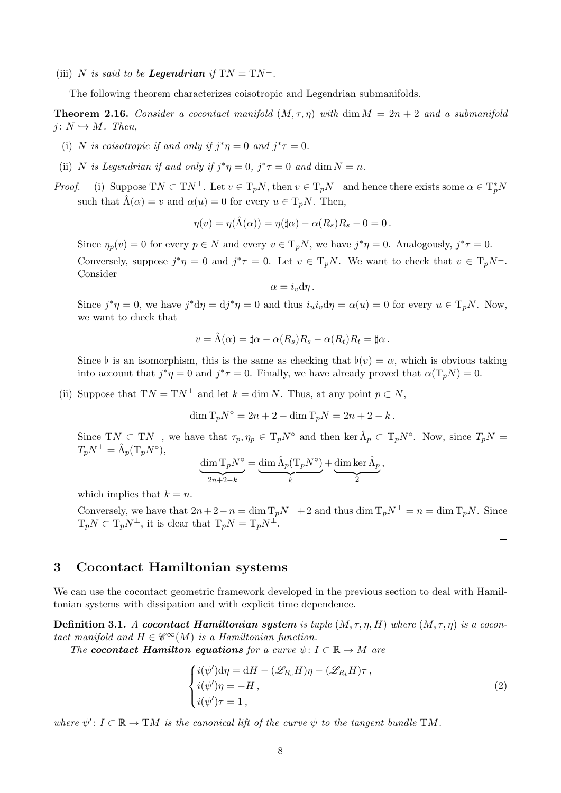(iii) N is said to be **Legendrian** if  $TN = TN^{\perp}$ .

The following theorem characterizes coisotropic and Legendrian submanifolds.

**Theorem 2.16.** Consider a cocontact manifold  $(M, \tau, \eta)$  with dim  $M = 2n + 2$  and a submanifold  $j: N \hookrightarrow M$ . Then,

- (i) N is coisotropic if and only if  $j^*\eta = 0$  and  $j^*\tau = 0$ .
- (ii) N is Legendrian if and only if  $j^*\eta = 0$ ,  $j^*\tau = 0$  and  $\dim N = n$ .
- *Proof.* (i) Suppose  $TN \subset TN^{\perp}$ . Let  $v \in T_pN$ , then  $v \in T_pN^{\perp}$  and hence there exists some  $\alpha \in T_p^*N$ such that  $\hat{\Lambda}(\alpha) = v$  and  $\alpha(u) = 0$  for every  $u \in T_nN$ . Then,

$$
\eta(v) = \eta(\hat{\Lambda}(\alpha)) = \eta(\sharp \alpha) - \alpha(R_s)R_s - 0 = 0.
$$

Since  $\eta_p(v) = 0$  for every  $p \in N$  and every  $v \in T_pN$ , we have  $j^*\eta = 0$ . Analogously,  $j^*\tau = 0$ . Conversely, suppose  $j^*\eta = 0$  and  $j^*\tau = 0$ . Let  $v \in T_pN$ . We want to check that  $v \in T_pN^{\perp}$ . Consider

 $\alpha = i_{\eta} \mathrm{d} \eta \, .$ 

Since  $j^*\eta = 0$ , we have  $j^*d\eta = dj^*\eta = 0$  and thus  $i_u i_v d\eta = \alpha(u) = 0$  for every  $u \in T_pN$ . Now, we want to check that

$$
v = \hat{\Lambda}(\alpha) = \sharp \alpha - \alpha(R_s)R_s - \alpha(R_t)R_t = \sharp \alpha.
$$

Since  $\flat$  is an isomorphism, this is the same as checking that  $\flat(v) = \alpha$ , which is obvious taking into account that  $j^*\eta = 0$  and  $j^*\tau = 0$ . Finally, we have already proved that  $\alpha(T_pN) = 0$ .

(ii) Suppose that  $TN = TN^{\perp}$  and let  $k = \dim N$ . Thus, at any point  $p \subset N$ ,

 $\dim T_p N^{\circ} = 2n + 2 - \dim T_p N = 2n + 2 - k$ .

Since TN  $\subset \mathrm{T}N^{\perp}$ , we have that  $\tau_p, \eta_p \in \mathrm{T}_pN^{\circ}$  and then ker  $\hat{\Lambda}_p \subset \mathrm{T}_pN^{\circ}$ . Now, since  $T_pN =$  $T_p N^{\perp} = \hat{\Lambda}_p(\mathrm{T}_p N^{\circ}),$ 

$$
\underbrace{\dim T_p N^{\circ}}_{2n+2-k} = \underbrace{\dim \hat{\Lambda}_p (T_p N^{\circ})}_{k} + \underbrace{\dim \ker \hat{\Lambda}_p}_{2},
$$

which implies that  $k = n$ .

Conversely, we have that  $2n+2-n = \dim T_pN^{\perp} + 2$  and thus  $\dim T_pN^{\perp} = n = \dim T_pN$ . Since  $T_pN \subset T_pN^{\perp}$ , it is clear that  $T_pN = T_pN^{\perp}$ .

<span id="page-7-1"></span> $\Box$ 

## <span id="page-7-0"></span>3 Cocontact Hamiltonian systems

We can use the cocontact geometric framework developed in the previous section to deal with Hamiltonian systems with dissipation and with explicit time dependence.

**Definition 3.1.** A cocontact Hamiltonian system is tuple  $(M, \tau, \eta, H)$  where  $(M, \tau, \eta)$  is a cocontact manifold and  $H \in \mathscr{C}^{\infty}(M)$  is a Hamiltonian function.

The cocontact Hamilton equations for a curve  $\psi: I \subset \mathbb{R} \to M$  are

$$
\begin{cases}\ni(\psi')d\eta = dH - (\mathscr{L}_{R_s}H)\eta - (\mathscr{L}_{R_t}H)\tau, \\
i(\psi')\eta = -H, \\
i(\psi')\tau = 1,\n\end{cases}
$$
\n(2)

where  $\psi' : I \subset \mathbb{R} \to TM$  is the canonical lift of the curve  $\psi$  to the tangent bundle TM.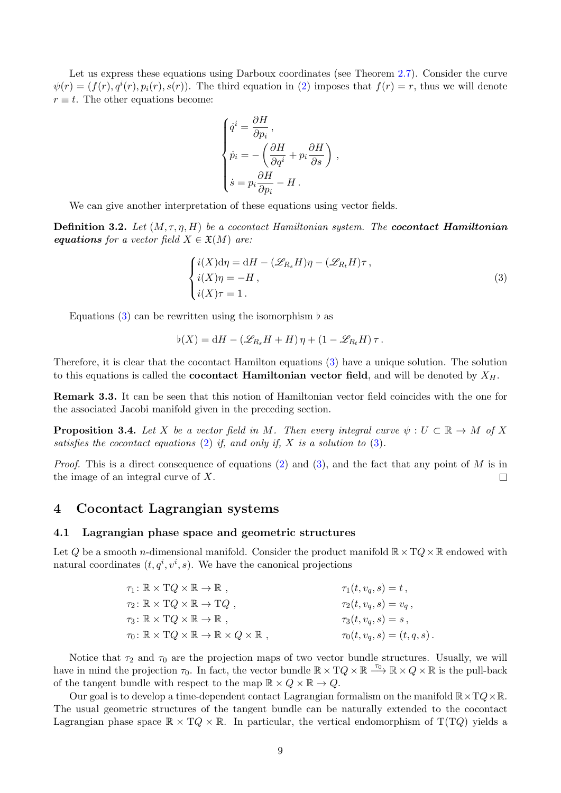Let us express these equations using Darboux coordinates (see Theorem [2.7\)](#page-3-0). Consider the curve  $\psi(r) = (f(r), q^{i}(r), p_{i}(r), s(r))$ . The third equation in [\(2\)](#page-7-1) imposes that  $f(r) = r$ , thus we will denote  $r \equiv t$ . The other equations become:

$$
\begin{cases}\n\dot{q}^i = \frac{\partial H}{\partial p_i}, \\
\dot{p}_i = -\left(\frac{\partial H}{\partial q^i} + p_i \frac{\partial H}{\partial s}\right), \\
\dot{s} = p_i \frac{\partial H}{\partial p_i} - H.\n\end{cases}
$$

We can give another interpretation of these equations using vector fields.

**Definition 3.2.** Let  $(M, \tau, \eta, H)$  be a cocontact Hamiltonian system. The **cocontact Hamiltonian** equations for a vector field  $X \in \mathfrak{X}(M)$  are:

<span id="page-8-2"></span>
$$
\begin{cases}\ni(X)\mathrm{d}\eta = \mathrm{d}H - (\mathscr{L}_{R_s}H)\eta - (\mathscr{L}_{R_t}H)\tau, \\
i(X)\eta = -H, \\
i(X)\tau = 1.\n\end{cases} \tag{3}
$$

Equations [\(3\)](#page-8-2) can be rewritten using the isomorphism  $\flat$  as

$$
\flat(X) = dH - (\mathscr{L}_{R_s}H + H)\eta + (1 - \mathscr{L}_{R_t}H)\tau.
$$

Therefore, it is clear that the cocontact Hamilton equations [\(3\)](#page-8-2) have a unique solution. The solution to this equations is called the **cocontact Hamiltonian vector field**, and will be denoted by  $X_H$ .

Remark 3.3. It can be seen that this notion of Hamiltonian vector field coincides with the one for the associated Jacobi manifold given in the preceding section.

**Proposition 3.4.** Let X be a vector field in M. Then every integral curve  $\psi : U \subset \mathbb{R} \to M$  of X satisfies the cocontact equations  $(2)$  if, and only if, X is a solution to  $(3)$ .

*Proof.* This is a direct consequence of equations [\(2\)](#page-7-1) and [\(3\)](#page-8-2), and the fact that any point of M is in the image of an integral curve of X.  $\Box$ 

## <span id="page-8-0"></span>4 Cocontact Lagrangian systems

#### <span id="page-8-1"></span>4.1 Lagrangian phase space and geometric structures

Let Q be a smooth n-dimensional manifold. Consider the product manifold  $\mathbb{R}\times TQ\times\mathbb{R}$  endowed with natural coordinates  $(t, q^i, v^i, s)$ . We have the canonical projections

| $\tau_1\colon \mathbb{R}\times TQ\times\mathbb{R}\to\mathbb{R}$ ,                            | $\tau_1(t, v_q, s) = t$ ,         |
|----------------------------------------------------------------------------------------------|-----------------------------------|
| $\tau_2 \colon \mathbb{R} \times TQ \times \mathbb{R} \to TQ$ ,                              | $\tau_2(t, v_q, s) = v_q$ ,       |
| $\tau_3\colon \mathbb{R}\times TQ\times\mathbb{R}\to\mathbb{R}$ ,                            | $\tau_3(t, v_q, s) = s,$          |
| $\tau_0: \mathbb{R} \times TQ \times \mathbb{R} \to \mathbb{R} \times Q \times \mathbb{R}$ , | $\tau_0(t, v_q, s) = (t, q, s)$ . |

Notice that  $\tau_2$  and  $\tau_0$  are the projection maps of two vector bundle structures. Usually, we will have in mind the projection  $\tau_0$ . In fact, the vector bundle  $\mathbb{R} \times TQ \times \mathbb{R} \longrightarrow \mathbb{R} \times Q \times \mathbb{R}$  is the pull-back of the tangent bundle with respect to the map  $\mathbb{R} \times Q \times \mathbb{R} \to Q$ .

Our goal is to develop a time-dependent contact Lagrangian formalism on the manifold  $\mathbb{R}\times TQ\times\mathbb{R}$ . The usual geometric structures of the tangent bundle can be naturally extended to the cocontact Lagrangian phase space  $\mathbb{R} \times TQ \times \mathbb{R}$ . In particular, the vertical endomorphism of  $T(TQ)$  yields a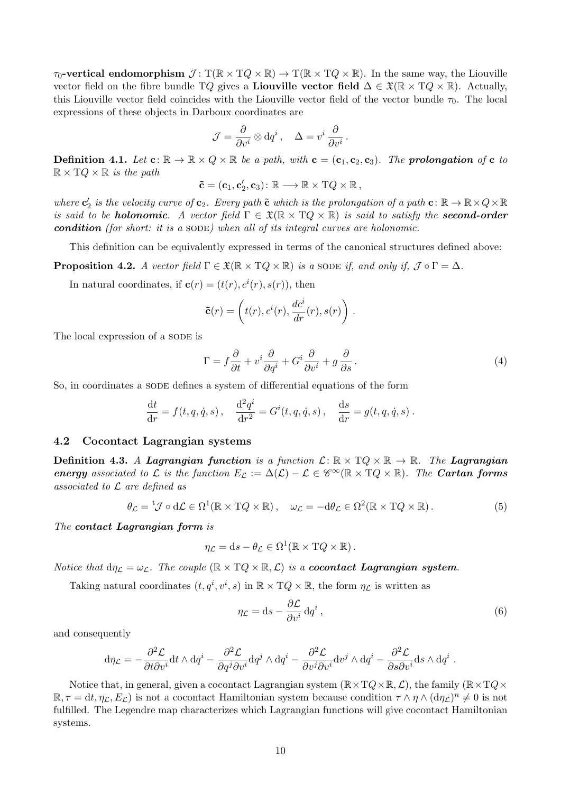$\tau_0$ -vertical endomorphism  $\mathcal{J} : T(\mathbb{R} \times TQ \times \mathbb{R}) \to T(\mathbb{R} \times TQ \times \mathbb{R})$ . In the same way, the Liouville vector field on the fibre bundle TQ gives a Liouville vector field  $\Delta \in \mathfrak{X}(\mathbb{R} \times TQ \times \mathbb{R})$ . Actually, this Liouville vector field coincides with the Liouville vector field of the vector bundle  $\tau_0$ . The local expressions of these objects in Darboux coordinates are

$$
\mathcal{J} = \frac{\partial}{\partial v^i} \otimes \mathrm{d} q^i \,, \quad \Delta = v^i \, \frac{\partial}{\partial v^i} \,.
$$

**Definition 4.1.** Let  $\mathbf{c} : \mathbb{R} \to \mathbb{R} \times Q \times \mathbb{R}$  be a path, with  $\mathbf{c} = (\mathbf{c}_1, \mathbf{c}_2, \mathbf{c}_3)$ . The prolongation of  $\mathbf{c}$  to  $\mathbb{R} \times TQ \times \mathbb{R}$  is the path

$$
\mathbf{\tilde{c}}=(\mathbf{c}_1,\mathbf{c}_2',\mathbf{c}_3)\colon\mathbb{R}\longrightarrow\mathbb{R}\times\mathrm{T} Q\times\mathbb{R}\,,
$$

where  $\mathbf{c}'_2$  is the velocity curve of  $\mathbf{c}_2$ . Every path  $\tilde{\mathbf{c}}$  which is the prolongation of a path  $\mathbf{c} \colon \mathbb{R} \to \mathbb{R} \times Q \times \mathbb{R}$ is said to be **holonomic**. A vector field  $\Gamma \in \mathfrak{X}(\mathbb{R} \times TQ \times \mathbb{R})$  is said to satisfy the **second-order** condition (for short: it is a SODE) when all of its integral curves are holonomic.

This definition can be equivalently expressed in terms of the canonical structures defined above:

**Proposition 4.2.** A vector field  $\Gamma \in \mathfrak{X}(\mathbb{R} \times TQ \times \mathbb{R})$  is a sode if, and only if,  $\mathcal{J} \circ \Gamma = \Delta$ .

In natural coordinates, if  $\mathbf{c}(r) = (t(r), c^i(r), s(r))$ , then

$$
\tilde{\mathbf{c}}(r) = \left(t(r), c^i(r), \frac{dc^i}{dr}(r), s(r)\right).
$$

The local expression of a SODE is

$$
\Gamma = f\frac{\partial}{\partial t} + v^i \frac{\partial}{\partial q^i} + G^i \frac{\partial}{\partial v^i} + g \frac{\partial}{\partial s}.
$$
\n(4)

So, in coordinates a SODE defines a system of differential equations of the form

$$
\frac{dt}{dr} = f(t, q, \dot{q}, s), \quad \frac{d^2 q^i}{dr^2} = G^i(t, q, \dot{q}, s), \quad \frac{ds}{dr} = g(t, q, \dot{q}, s).
$$

#### <span id="page-9-0"></span>4.2 Cocontact Lagrangian systems

**Definition 4.3.** A Lagrangian function is a function  $\mathcal{L}: \mathbb{R} \times TQ \times \mathbb{R} \to \mathbb{R}$ . The Lagrangian energy associated to L is the function  $E_{\mathcal{L}} := \Delta(\mathcal{L}) - \mathcal{L} \in \mathscr{C}^{\infty}(\mathbb{R} \times TQ \times \mathbb{R})$ . The Cartan forms associated to  $\mathcal L$  are defined as

$$
\theta_{\mathcal{L}} = {}^{t}\mathcal{J} \circ d\mathcal{L} \in \Omega^{1}(\mathbb{R} \times TQ \times \mathbb{R}), \quad \omega_{\mathcal{L}} = -d\theta_{\mathcal{L}} \in \Omega^{2}(\mathbb{R} \times TQ \times \mathbb{R}). \tag{5}
$$

The contact Lagrangian form is

$$
\eta_{\mathcal{L}} = ds - \theta_{\mathcal{L}} \in \Omega^1(\mathbb{R} \times TQ \times \mathbb{R}).
$$

Notice that  $d\eta_{\mathcal{L}} = \omega_{\mathcal{L}}$ . The couple  $(\mathbb{R} \times TQ \times \mathbb{R}, \mathcal{L})$  is a **cocontact Lagrangian system**.

Taking natural coordinates  $(t, q^i, v^i, s)$  in  $\mathbb{R} \times TQ \times \mathbb{R}$ , the form  $\eta_{\mathcal{L}}$  is written as

$$
\eta_{\mathcal{L}} = ds - \frac{\partial \mathcal{L}}{\partial v^i} dq^i ,\qquad (6)
$$

.

and consequently

$$
\mathrm{d}\eta_{\mathcal{L}} = -\frac{\partial^2 \mathcal{L}}{\partial t \partial v^i} \mathrm{d} t \wedge \mathrm{d} q^i - \frac{\partial^2 \mathcal{L}}{\partial q^j \partial v^i} \mathrm{d} q^j \wedge \mathrm{d} q^i - \frac{\partial^2 \mathcal{L}}{\partial v^j \partial v^i} \mathrm{d} v^j \wedge \mathrm{d} q^i - \frac{\partial^2 \mathcal{L}}{\partial s \partial v^i} \mathrm{d} s \wedge \mathrm{d} q^i
$$

Notice that, in general, given a cocontact Lagrangian system  $(\mathbb{R} \times TQ \times \mathbb{R}, \mathcal{L})$ , the family  $(\mathbb{R} \times TQ \times$  $\mathbb{R}, \tau = dt, \eta_{\mathcal{L}}, E_{\mathcal{L}}$  is not a cocontact Hamiltonian system because condition  $\tau \wedge \eta \wedge (d\eta_{\mathcal{L}})^n \neq 0$  is not fulfilled. The Legendre map characterizes which Lagrangian functions will give cocontact Hamiltonian systems.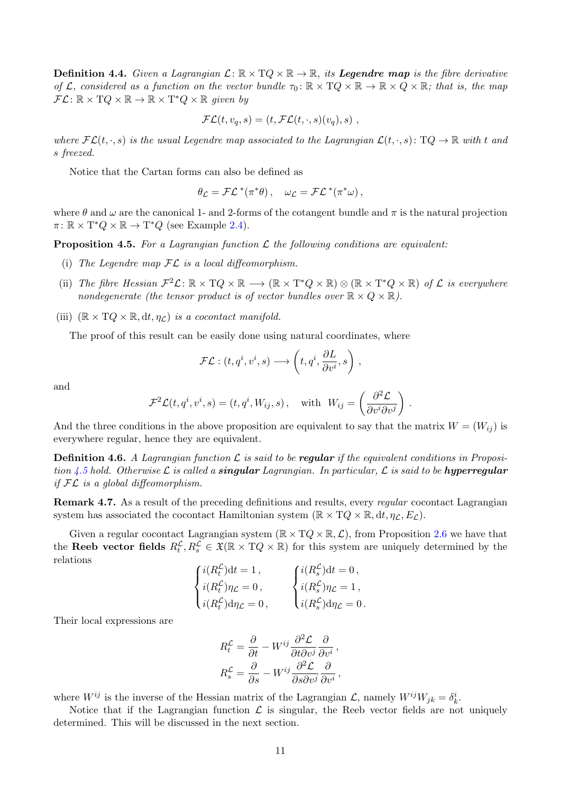**Definition 4.4.** Given a Lagrangian  $\mathcal{L}: \mathbb{R} \times TQ \times \mathbb{R} \to \mathbb{R}$ , its **Legendre map** is the fibre derivative of L, considered as a function on the vector bundle  $\tau_0 \colon \mathbb{R} \times TQ \times \mathbb{R} \to \mathbb{R} \times Q \times \mathbb{R}$ ; that is, the map  $\mathcal{FL} \colon \mathbb{R} \times TQ \times \mathbb{R} \to \mathbb{R} \times T^*Q \times \mathbb{R}$  given by

$$
\mathcal{FL}(t, v_q, s) = (t, \mathcal{FL}(t, \cdot, s)(v_q), s) ,
$$

where  $\mathcal{FL}(t, \cdot, s)$  is the usual Legendre map associated to the Lagrangian  $\mathcal{L}(t, \cdot, s)$ :  $TQ \to \mathbb{R}$  with t and s freezed.

Notice that the Cartan forms can also be defined as

$$
\theta_{\mathcal{L}} = \mathcal{FL}^*(\pi^*\theta), \quad \omega_{\mathcal{L}} = \mathcal{FL}^*(\pi^*\omega),
$$

where  $\theta$  and  $\omega$  are the canonical 1- and 2-forms of the cotangent bundle and  $\pi$  is the natural projection  $\pi: \mathbb{R} \times T^*Q \times \mathbb{R} \to T^*Q$  (see Example [2.4\)](#page-2-2).

<span id="page-10-0"></span>**Proposition 4.5.** For a Lagrangian function  $\mathcal{L}$  the following conditions are equivalent:

- (i) The Legendre map  $\mathcal{FL}$  is a local diffeomorphism.
- (ii) The fibre Hessian  $\mathcal{F}^2 \mathcal{L} \colon \mathbb{R} \times TQ \times \mathbb{R} \longrightarrow (\mathbb{R} \times T^*Q \times \mathbb{R}) \otimes (\mathbb{R} \times T^*Q \times \mathbb{R})$  of  $\mathcal{L}$  is everywhere nondegenerate (the tensor product is of vector bundles over  $\mathbb{R} \times Q \times \mathbb{R}$ ).

(iii)  $(\mathbb{R} \times TQ \times \mathbb{R}, dt, \eta_C)$  is a cocontact manifold.

The proof of this result can be easily done using natural coordinates, where

$$
\mathcal{FL} : (t, q^i, v^i, s) \longrightarrow \left(t, q^i, \frac{\partial L}{\partial v^i}, s\right),
$$

and

$$
\mathcal{F}^2 \mathcal{L}(t, q^i, v^i, s) = (t, q^i, W_{ij}, s), \text{ with } W_{ij} = \left(\frac{\partial^2 \mathcal{L}}{\partial v^i \partial v^j}\right).
$$

And the three conditions in the above proposition are equivalent to say that the matrix  $W = (W_{ij})$  is everywhere regular, hence they are equivalent.

**Definition 4.6.** A Lagrangian function  $\mathcal{L}$  is said to be **regular** if the equivalent conditions in Proposi-tion [4.5](#page-10-0) hold. Otherwise L is called a **singular** Lagrangian. In particular, L is said to be hyperregular if  $FL$  is a global diffeomorphism.

Remark 4.7. As a result of the preceding definitions and results, every *regular* cocontact Lagrangian system has associated the cocontact Hamiltonian system  $(\mathbb{R} \times TQ \times \mathbb{R}, dt, \eta_c, E_c)$ .

Given a regular cocontact Lagrangian system  $(\mathbb{R} \times TQ \times \mathbb{R}, \mathcal{L})$ , from Proposition [2.6](#page-3-1) we have that the Reeb vector fields  $R_t^{\mathcal{L}}, R_s^{\mathcal{L}} \in \mathfrak{X}(\mathbb{R} \times TQ \times \mathbb{R})$  for this system are uniquely determined by the relations

$$
\begin{cases}\ni(R_t^{\mathcal{L}})dt = 1, \\
i(R_t^{\mathcal{L}})\eta_{\mathcal{L}} = 0, \\
i(R_t^{\mathcal{L}})d\eta_{\mathcal{L}} = 0, \\
i(R_s^{\mathcal{L}})d\eta_{\mathcal{L}} = 0.\n\end{cases}\n\begin{cases}\ni(R_s^{\mathcal{L}})dt = 0, \\
i(R_s^{\mathcal{L}})\eta_{\mathcal{L}} = 1, \\
i(R_s^{\mathcal{L}})d\eta_{\mathcal{L}} = 0.\n\end{cases}
$$

Their local expressions are

$$
R_t^{\mathcal{L}} = \frac{\partial}{\partial t} - W^{ij} \frac{\partial^2 \mathcal{L}}{\partial t \partial v^j} \frac{\partial}{\partial v^i},
$$
  

$$
R_s^{\mathcal{L}} = \frac{\partial}{\partial s} - W^{ij} \frac{\partial^2 \mathcal{L}}{\partial s \partial v^j} \frac{\partial}{\partial v^i},
$$

where  $W^{ij}$  is the inverse of the Hessian matrix of the Lagrangian  $\mathcal{L}$ , namely  $W^{ij}W_{jk} = \delta^i_k$ .

Notice that if the Lagrangian function  $\mathcal L$  is singular, the Reeb vector fields are not uniquely determined. This will be discussed in the next section.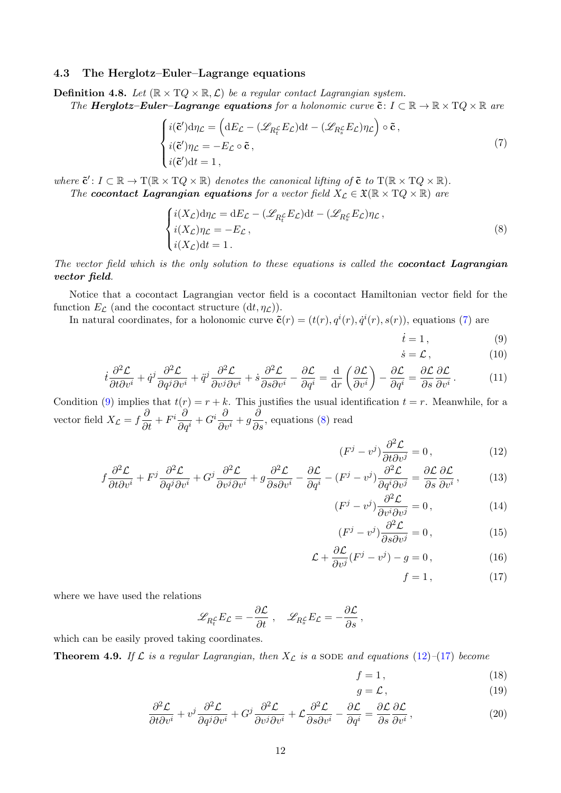#### <span id="page-11-0"></span>4.3 The Herglotz–Euler–Lagrange equations

<span id="page-11-15"></span>**Definition 4.8.** Let  $(\mathbb{R} \times TQ \times \mathbb{R}, \mathcal{L})$  be a regular contact Lagrangian system.

The **Herglotz–Euler–Lagrange equations** for a holonomic curve  $\tilde{\mathbf{c}}: I \subset \mathbb{R} \to \mathbb{R} \times TQ \times \mathbb{R}$  are

$$
\begin{cases}\ni(\tilde{\mathbf{c}}')d\eta_{\mathcal{L}} = \left(dE_{\mathcal{L}} - (\mathscr{L}_{R_t^{\mathcal{L}}}E_{\mathcal{L}})dt - (\mathscr{L}_{R_s^{\mathcal{L}}}E_{\mathcal{L}})\eta_{\mathcal{L}}\right) \circ \tilde{\mathbf{c}}\,,\\ \ni(\tilde{\mathbf{c}}')\eta_{\mathcal{L}} = -E_{\mathcal{L}} \circ \tilde{\mathbf{c}}\,,\\ \ni(\tilde{\mathbf{c}}')dt = 1\,,\end{cases} \tag{7}
$$

where  $\tilde{\mathbf{c}}': I \subset \mathbb{R} \to \mathrm{T}(\mathbb{R} \times \mathrm{T} Q \times \mathbb{R})$  denotes the canonical lifting of  $\tilde{\mathbf{c}}$  to  $\mathrm{T}(\mathbb{R} \times \mathrm{T} Q \times \mathbb{R})$ . The cocontact Lagrangian equations for a vector field  $X_{\mathcal{L}} \in \mathfrak{X}(\mathbb{R} \times TQ \times \mathbb{R})$  are

$$
\begin{cases}\ni(X_{\mathcal{L}})\mathrm{d}\eta_{\mathcal{L}} = \mathrm{d}E_{\mathcal{L}} - (\mathscr{L}_{R_t^{\mathcal{L}}}E_{\mathcal{L}})\mathrm{d}t - (\mathscr{L}_{R_s^{\mathcal{L}}}E_{\mathcal{L}})\eta_{\mathcal{L}},\\ i(X_{\mathcal{L}})\eta_{\mathcal{L}} = -E_{\mathcal{L}},\\ i(X_{\mathcal{L}})\mathrm{d}t = 1.\end{cases}
$$
\n(8)

The vector field which is the only solution to these equations is called the **cocontact Lagrangian** vector field.

Notice that a cocontact Lagrangian vector field is a cocontact Hamiltonian vector field for the function  $E_{\mathcal{L}}$  (and the cocontact structure  $(dt, \eta_{\mathcal{L}})$ ).

In natural coordinates, for a holonomic curve  $\tilde{\mathbf{c}}(r) = (t(r), q^{i}(r), \dot{q}^{i}(r), s(r))$ , equations [\(7\)](#page-11-1) are

<span id="page-11-3"></span><span id="page-11-2"></span><span id="page-11-1"></span>
$$
\dot{t} = 1, \tag{9}
$$

<span id="page-11-7"></span><span id="page-11-6"></span><span id="page-11-4"></span>
$$
\dot{s} = \mathcal{L},\tag{10}
$$

$$
\dot{t}\frac{\partial^2 \mathcal{L}}{\partial t \partial v^i} + \dot{q}^j \frac{\partial^2 \mathcal{L}}{\partial q^j \partial v^i} + \ddot{q}^j \frac{\partial^2 \mathcal{L}}{\partial v^j \partial v^i} + \dot{s}\frac{\partial^2 \mathcal{L}}{\partial s \partial v^i} - \frac{\partial \mathcal{L}}{\partial q^i} = \frac{\mathrm{d}}{\mathrm{d}r} \left(\frac{\partial \mathcal{L}}{\partial v^i}\right) - \frac{\partial \mathcal{L}}{\partial q^i} = \frac{\partial \mathcal{L}}{\partial s} \frac{\partial \mathcal{L}}{\partial v^i} \,. \tag{11}
$$

Condition [\(9\)](#page-11-2) implies that  $t(r) = r + k$ . This justifies the usual identification  $t = r$ . Meanwhile, for a vector field  $X_{\mathcal{L}} = f \frac{\partial}{\partial t} + F^i \frac{\partial}{\partial q}$  $\frac{\partial}{\partial q^i}+G^i\frac{\partial}{\partial i}$  $\frac{\partial}{\partial v^i} + g \frac{\partial}{\partial s}$ , equations [\(8\)](#page-11-3) read

$$
(F^j - v^j)\frac{\partial^2 \mathcal{L}}{\partial t \partial v^j} = 0, \qquad (12)
$$

$$
f\frac{\partial^2 \mathcal{L}}{\partial t \partial v^i} + F^j \frac{\partial^2 \mathcal{L}}{\partial q^j \partial v^i} + G^j \frac{\partial^2 \mathcal{L}}{\partial v^j \partial v^i} + g \frac{\partial^2 \mathcal{L}}{\partial s \partial v^i} - \frac{\partial \mathcal{L}}{\partial q^i} - (F^j - v^j) \frac{\partial^2 \mathcal{L}}{\partial q^i \partial v^j} = \frac{\partial \mathcal{L}}{\partial s} \frac{\partial \mathcal{L}}{\partial v^i},\tag{13}
$$

$$
(F^j - v^j)\frac{\partial^2 \mathcal{L}}{\partial v^i \partial v^j} = 0, \qquad (14)
$$

$$
(F^j - v^j)\frac{\partial^2 \mathcal{L}}{\partial s \partial v^j} = 0, \qquad (15)
$$

$$
\mathcal{L} + \frac{\partial \mathcal{L}}{\partial v^j} (F^j - v^j) - g = 0, \qquad (16)
$$

<span id="page-11-12"></span><span id="page-11-11"></span><span id="page-11-10"></span><span id="page-11-9"></span><span id="page-11-8"></span><span id="page-11-5"></span> $f = 1,$  (17)

where we have used the relations

$$
\mathscr{L}_{R_t^{\mathcal{L}}} E_{\mathcal{L}} = -\frac{\partial \mathcal{L}}{\partial t} , \quad \mathscr{L}_{R_s^{\mathcal{L}}} E_{\mathcal{L}} = -\frac{\partial \mathcal{L}}{\partial s} ,
$$

which can be easily proved taking coordinates.

<span id="page-11-16"></span>**Theorem 4.9.** If  $\mathcal{L}$  is a regular Lagrangian, then  $X_{\mathcal{L}}$  is a SODE and equations [\(12\)](#page-11-4)–[\(17\)](#page-11-5) become

$$
f = 1,\t(18)
$$

<span id="page-11-14"></span><span id="page-11-13"></span>
$$
g = \mathcal{L},\tag{19}
$$

$$
\frac{\partial^2 \mathcal{L}}{\partial t \partial v^i} + v^j \frac{\partial^2 \mathcal{L}}{\partial q^j \partial v^i} + G^j \frac{\partial^2 \mathcal{L}}{\partial v^j \partial v^i} + \mathcal{L} \frac{\partial^2 \mathcal{L}}{\partial s \partial v^i} - \frac{\partial \mathcal{L}}{\partial q^i} = \frac{\partial \mathcal{L}}{\partial s} \frac{\partial \mathcal{L}}{\partial v^i},\tag{20}
$$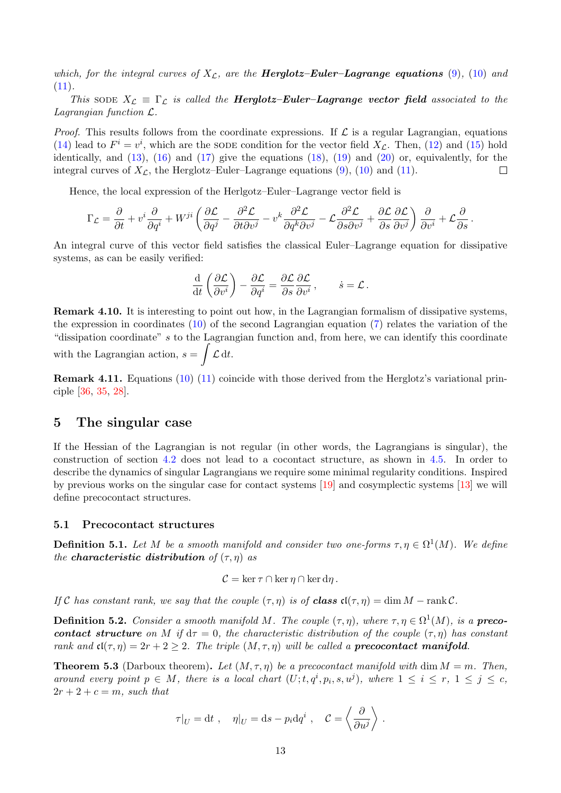which, for the integral curves of  $X_{\mathcal{L}}$ , are the **Herglotz–Euler–Lagrange equations** [\(9\)](#page-11-2), [\(10\)](#page-11-6) and  $(11).$  $(11).$ 

This sode  $X_{\mathcal{L}} \equiv \Gamma_{\mathcal{L}}$  is called the **Herglotz–Euler–Lagrange vector field** associated to the Lagrangian function L.

*Proof.* This results follows from the coordinate expressions. If  $\mathcal L$  is a regular Lagrangian, equations [\(14\)](#page-11-8) lead to  $F^i = v^i$ , which are the SODE condition for the vector field  $X_{\mathcal{L}}$ . Then, [\(12\)](#page-11-4) and [\(15\)](#page-11-9) hold identically, and  $(13)$ ,  $(16)$  and  $(17)$  give the equations  $(18)$ ,  $(19)$  and  $(20)$  or, equivalently, for the integral curves of  $X_{\mathcal{L}}$ , the Herglotz–Euler–Lagrange equations [\(9\)](#page-11-2), [\(10\)](#page-11-6) and [\(11\)](#page-11-7).  $\Box$ 

Hence, the local expression of the Herlgotz–Euler–Lagrange vector field is

$$
\Gamma_{\mathcal{L}} = \frac{\partial}{\partial t} + v^i \frac{\partial}{\partial q^i} + W^{ji} \left( \frac{\partial \mathcal{L}}{\partial q^j} - \frac{\partial^2 \mathcal{L}}{\partial t \partial v^j} - v^k \frac{\partial^2 \mathcal{L}}{\partial q^k \partial v^j} - \mathcal{L} \frac{\partial^2 \mathcal{L}}{\partial s \partial v^j} + \frac{\partial \mathcal{L}}{\partial s} \frac{\partial \mathcal{L}}{\partial v^j} \right) \frac{\partial}{\partial v^i} + \mathcal{L} \frac{\partial}{\partial s}.
$$

An integral curve of this vector field satisfies the classical Euler–Lagrange equation for dissipative systems, as can be easily verified:

$$
\frac{\mathrm{d}}{\mathrm{d}t}\left(\frac{\partial \mathcal{L}}{\partial v^i}\right) - \frac{\partial \mathcal{L}}{\partial q^i} = \frac{\partial \mathcal{L}}{\partial s}\frac{\partial \mathcal{L}}{\partial v^i}\,,\qquad \dot{s} = \mathcal{L}\,.
$$

Remark 4.10. It is interesting to point out how, in the Lagrangian formalism of dissipative systems, the expression in coordinates [\(10\)](#page-11-6) of the second Lagrangian equation [\(7\)](#page-11-1) relates the variation of the "dissipation coordinate" s to the Lagrangian function and, from here, we can identify this coordinate with the Lagrangian action,  $s = \int \mathcal{L} dt$ .

Remark 4.11. Equations [\(10\)](#page-11-6) [\(11\)](#page-11-7) coincide with those derived from the Herglotz's variational principle [\[36,](#page-26-6) [35,](#page-26-9) [28\]](#page-26-10).

## <span id="page-12-0"></span>5 The singular case

If the Hessian of the Lagrangian is not regular (in other words, the Lagrangians is singular), the construction of section [4.2](#page-9-0) does not lead to a cocontact structure, as shown in [4.5.](#page-10-0) In order to describe the dynamics of singular Lagrangians we require some minimal regularity conditions. Inspired by previous works on the singular case for contact systems [\[19\]](#page-25-12) and cosymplectic systems [\[13\]](#page-25-4) we will define precocontact structures.

#### <span id="page-12-1"></span>5.1 Precocontact structures

**Definition 5.1.** Let M be a smooth manifold and consider two one-forms  $\tau, \eta \in \Omega^1(M)$ . We define the **characteristic distribution** of  $(\tau, \eta)$  as

$$
C = \ker \tau \cap \ker \eta \cap \ker d\eta.
$$

If C has constant rank, we say that the couple  $(\tau, \eta)$  is of class  $\mathfrak{cl}(\tau, \eta) = \dim M - \text{rank } \mathcal{C}$ .

**Definition 5.2.** Consider a smooth manifold M. The couple  $(\tau, \eta)$ , where  $\tau, \eta \in \Omega^1(M)$ , is a **preco**contact structure on M if  $d\tau = 0$ , the characteristic distribution of the couple  $(\tau, \eta)$  has constant rank and  $\mathfrak{cl}(\tau, \eta) = 2r + 2 \geq 2$ . The triple  $(M, \tau, \eta)$  will be called a **precocontact manifold**.

<span id="page-12-2"></span>**Theorem 5.3** (Darboux theorem). Let  $(M, \tau, \eta)$  be a precocontact manifold with dim  $M = m$ . Then, around every point  $p \in M$ , there is a local chart  $(U; t, q^i, p_i, s, u^j)$ , where  $1 \leq i \leq r$ ,  $1 \leq j \leq c$ ,  $2r + 2 + c = m$ , such that

$$
\tau|_U = dt
$$
,  $\eta|_U = ds - p_i dq^i$ ,  $C = \left\langle \frac{\partial}{\partial u^j} \right\rangle$ .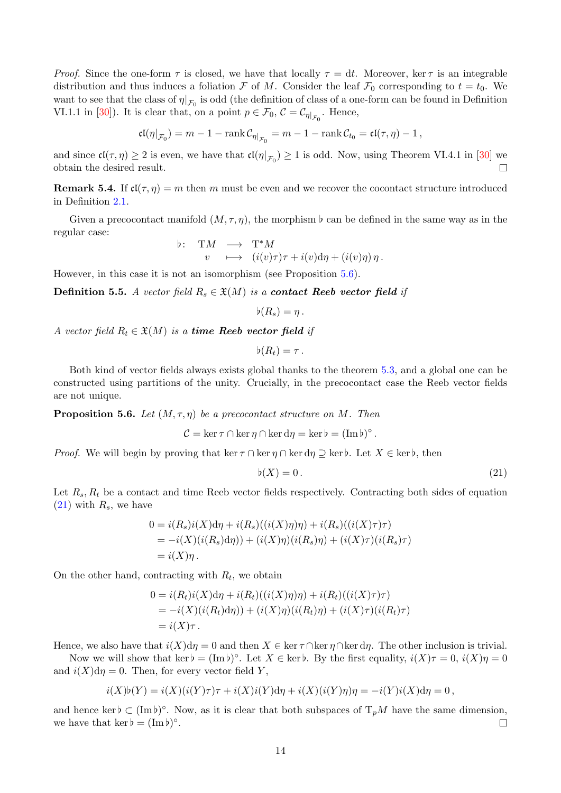*Proof.* Since the one-form  $\tau$  is closed, we have that locally  $\tau = dt$ . Moreover, ker  $\tau$  is an integrable distribution and thus induces a foliation F of M. Consider the leaf  $\mathcal{F}_0$  corresponding to  $t = t_0$ . We want to see that the class of  $\eta|_{\mathcal{F}_0}$  is odd (the definition of class of a one-form can be found in Definition VI.1.1 in [\[30\]](#page-26-11)). It is clear that, on a point  $p \in \mathcal{F}_0$ ,  $\mathcal{C} = \mathcal{C}_{\eta|_{\mathcal{F}_0}}$ . Hence,

$$
\mathfrak{cl}(\eta|_{\mathcal{F}_0}) = m - 1 - \mathrm{rank}\, \mathcal{C}_{\eta|_{\mathcal{F}_0}} = m - 1 - \mathrm{rank}\, \mathcal{C}_{t_0} = \mathfrak{cl}(\tau, \eta) - 1\,,
$$

and since  $\mathfrak{cl}(\tau, \eta) \geq 2$  is even, we have that  $\mathfrak{cl}(\eta|_{\mathcal{F}_0}) \geq 1$  is odd. Now, using Theorem VI.4.1 in [\[30\]](#page-26-11) we obtain the desired result.  $\Box$ 

**Remark 5.4.** If  $\mathfrak{cl}(\tau, \eta) = m$  then m must be even and we recover the cocontact structure introduced in Definition [2.1.](#page-2-3)

Given a precocontact manifold  $(M, \tau, \eta)$ , the morphism  $\flat$  can be defined in the same way as in the regular case:

b: TM 
$$
\longrightarrow
$$
 T<sup>\*</sup>M  
v  $\longmapsto$   $(i(v)\tau)\tau + i(v)d\eta + (i(v)\eta)\eta$ .

However, in this case it is not an isomorphism (see Proposition [5.6\)](#page-13-0).

<span id="page-13-2"></span>**Definition 5.5.** A vector field  $R_s \in \mathfrak{X}(M)$  is a **contact Reeb vector field** if

$$
\flat(R_s)=\eta\,.
$$

A vector field  $R_t \in \mathfrak{X}(M)$  is a time Reeb vector field if

$$
\flat(R_t)=\tau\,.
$$

Both kind of vector fields always exists global thanks to the theorem [5.3,](#page-12-2) and a global one can be constructed using partitions of the unity. Crucially, in the precocontact case the Reeb vector fields are not unique.

<span id="page-13-0"></span>**Proposition 5.6.** Let  $(M, \tau, \eta)$  be a precocontact structure on M. Then

$$
\mathcal{C} = \ker \tau \cap \ker \eta \cap \ker d\eta = \ker \flat = (\operatorname{Im} \flat)^{\circ}.
$$

*Proof.* We will begin by proving that ker  $\tau \cap \ker \eta \cap \ker d\eta \supseteq \ker b$ . Let  $X \in \ker b$ , then

<span id="page-13-1"></span>
$$
\flat(X) = 0. \tag{21}
$$

Let  $R_s$ ,  $R_t$  be a contact and time Reeb vector fields respectively. Contracting both sides of equation  $(21)$  with  $R_s$ , we have

$$
0 = i(R_s)i(X)d\eta + i(R_s)((i(X)\eta)\eta) + i(R_s)((i(X)\tau)\tau)
$$
  
= 
$$
-i(X)(i(R_s)d\eta)) + (i(X)\eta)(i(R_s)\eta) + (i(X)\tau)(i(R_s)\tau)
$$
  
= 
$$
i(X)\eta.
$$

On the other hand, contracting with  $R_t$ , we obtain

$$
0 = i(R_t)i(X)d\eta + i(R_t)((i(X)\eta)\eta) + i(R_t)((i(X)\tau)\tau)
$$
  
= 
$$
-i(X)(i(R_t)d\eta)) + (i(X)\eta)(i(R_t)\eta) + (i(X)\tau)(i(R_t)\tau)
$$
  
= 
$$
i(X)\tau.
$$

Hence, we also have that  $i(X)d\eta = 0$  and then  $X \in \ker \tau \cap \ker \eta \cap \ker d\eta$ . The other inclusion is trivial.

Now we will show that ker  $\flat = (\text{Im }b)^\circ$ . Let  $X \in \text{ker }b$ . By the first equality,  $i(X)\tau = 0$ ,  $i(X)\eta = 0$ and  $i(X)d\eta = 0$ . Then, for every vector field Y,

$$
i(X)\mathfrak{b}(Y) = i(X)(i(Y)\tau)\tau + i(X)i(Y)\mathrm{d}\eta + i(X)(i(Y)\eta)\eta = -i(Y)i(X)\mathrm{d}\eta = 0,
$$

and hence ker  $\flat \subset (\text{Im }\flat)^{\circ}$ . Now, as it is clear that both subspaces of  $T_pM$  have the same dimension, we have that  $\ker \flat = (\operatorname{Im} \flat)^{\circ}$ .  $\Box$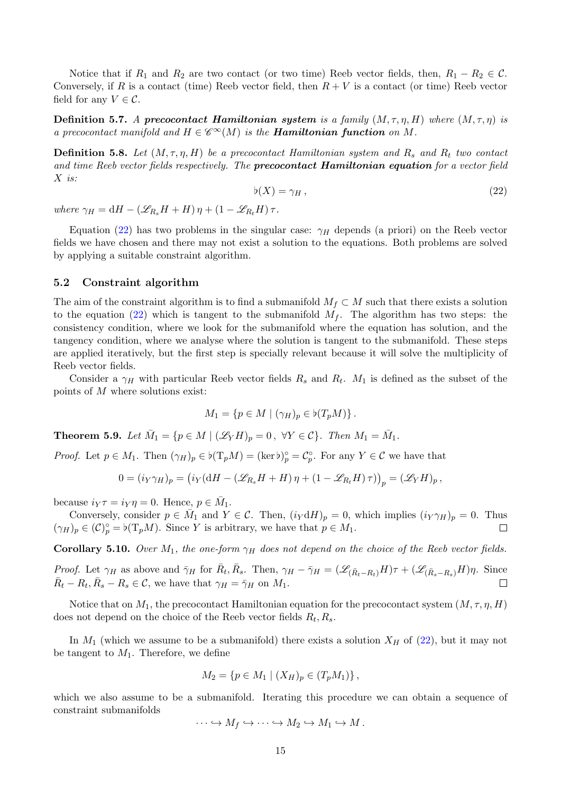Notice that if  $R_1$  and  $R_2$  are two contact (or two time) Reeb vector fields, then,  $R_1 - R_2 \in \mathcal{C}$ . Conversely, if R is a contact (time) Reeb vector field, then  $R + V$  is a contact (or time) Reeb vector field for any  $V \in \mathcal{C}$ .

**Definition 5.7.** A precocontact Hamiltonian system is a family  $(M, \tau, \eta, H)$  where  $(M, \tau, \eta)$  is a precocontact manifold and  $H \in \mathscr{C}^{\infty}(M)$  is the **Hamiltonian function** on M.

<span id="page-14-1"></span>**Definition 5.8.** Let  $(M, \tau, \eta, H)$  be a precocontact Hamiltonian system and  $R_s$  and  $R_t$  two contact and time Reeb vector fields respectively. The **precocontact Hamiltonian equation** for a vector field X is:

$$
\flat(X) = \gamma_H \,,\tag{22}
$$

where  $\gamma_H = dH - (\mathscr{L}_{R_s}H + H)\eta + (1 - \mathscr{L}_{R_t}H)\tau$ .

Equation [\(22\)](#page-14-1) has two problems in the singular case:  $\gamma_H$  depends (a priori) on the Reeb vector fields we have chosen and there may not exist a solution to the equations. Both problems are solved by applying a suitable constraint algorithm.

#### <span id="page-14-0"></span>5.2 Constraint algorithm

The aim of the constraint algorithm is to find a submanifold  $M_f \subset M$  such that there exists a solution to the equation [\(22\)](#page-14-1) which is tangent to the submanifold  $M_f$ . The algorithm has two steps: the consistency condition, where we look for the submanifold where the equation has solution, and the tangency condition, where we analyse where the solution is tangent to the submanifold. These steps are applied iteratively, but the first step is specially relevant because it will solve the multiplicity of Reeb vector fields.

Consider a  $\gamma_H$  with particular Reeb vector fields  $R_s$  and  $R_t$ .  $M_1$  is defined as the subset of the points of M where solutions exist:

$$
M_1 = \{ p \in M \mid (\gamma_H)_p \in \flat(T_p M) \}.
$$

**Theorem 5.9.** Let  $\overline{M}_1 = \{p \in M \mid (\mathscr{L}_Y H)_p = 0, \ \forall Y \in \mathcal{C}\}\$ . Then  $M_1 = \overline{M}_1$ .

*Proof.* Let  $p \in M_1$ . Then  $(\gamma_H)_p \in \mathfrak{b}(\mathrm{T}_p M) = (\mathrm{ker} \mathfrak{b})_p^{\circ} = \mathcal{C}_p^{\circ}$ . For any  $Y \in \mathcal{C}$  we have that

$$
0 = (i_Y \gamma_H)_p = (i_Y (dH - (\mathscr{L}_{R_s} H + H) \eta + (1 - \mathscr{L}_{R_t} H) \tau))_p = (\mathscr{L}_Y H)_p,
$$

because  $i_Y \tau = i_Y \eta = 0$ . Hence,  $p \in \overline{M}_1$ .

Conversely, consider  $p \in \overline{M}_1$  and  $Y \in \mathcal{C}$ . Then,  $(i_Y dH)_p = 0$ , which implies  $(i_Y \gamma_H)_p = 0$ . Thus  $(\gamma_H)_p \in (\mathcal{C})_p^{\circ} = \flat(\mathrm{T}_p M)$ . Since Y is arbitrary, we have that  $p \in M_1$ .  $\Box$ 

**Corollary 5.10.** Over  $M_1$ , the one-form  $\gamma_H$  does not depend on the choice of the Reeb vector fields.

*Proof.* Let  $\gamma_H$  as above and  $\bar{\gamma}_H$  for  $\bar{R}_t$ ,  $\bar{R}_s$ . Then,  $\gamma_H - \bar{\gamma}_H = (\mathscr{L}_{(\bar{R}_t-R_t)}H)\tau + (\mathscr{L}_{(\bar{R}_s-R_s)}H)\eta$ . Since  $\bar{R}_t - R_t, \bar{R}_s - R_s \in \mathcal{C}$ , we have that  $\gamma_H = \bar{\gamma}_H$  on  $M_1$ .  $\Box$ 

Notice that on  $M_1$ , the precocontact Hamiltonian equation for the precocontact system  $(M, \tau, \eta, H)$ does not depend on the choice of the Reeb vector fields  $R_t, R_s$ .

In  $M_1$  (which we assume to be a submanifold) there exists a solution  $X_H$  of [\(22\)](#page-14-1), but it may not be tangent to  $M_1$ . Therefore, we define

$$
M_2 = \{ p \in M_1 \mid (X_H)_p \in (T_p M_1) \},\
$$

which we also assume to be a submanifold. Iterating this procedure we can obtain a sequence of constraint submanifolds

$$
\cdots \hookrightarrow M_f \hookrightarrow \cdots \hookrightarrow M_2 \hookrightarrow M_1 \hookrightarrow M.
$$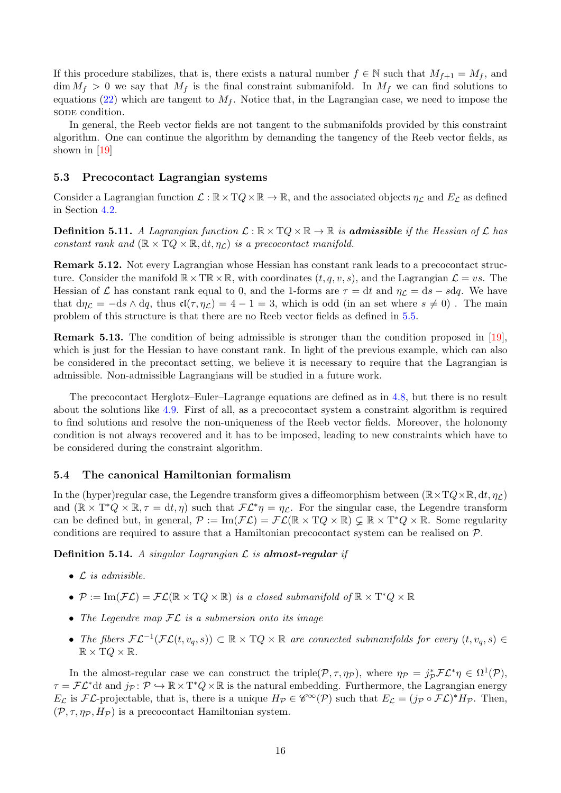If this procedure stabilizes, that is, there exists a natural number  $f \in \mathbb{N}$  such that  $M_{f+1} = M_f$ , and  $\dim M_f > 0$  we say that  $M_f$  is the final constraint submanifold. In  $M_f$  we can find solutions to equations [\(22\)](#page-14-1) which are tangent to  $M_f$ . Notice that, in the Lagrangian case, we need to impose the sode condition.

In general, the Reeb vector fields are not tangent to the submanifolds provided by this constraint algorithm. One can continue the algorithm by demanding the tangency of the Reeb vector fields, as shown in [\[19\]](#page-25-12)

#### <span id="page-15-0"></span>5.3 Precocontact Lagrangian systems

Consider a Lagrangian function  $\mathcal{L} : \mathbb{R} \times TQ \times \mathbb{R} \to \mathbb{R}$ , and the associated objects  $\eta_{\mathcal{L}}$  and  $E_{\mathcal{L}}$  as defined in Section [4.2.](#page-9-0)

**Definition 5.11.** A Lagrangian function  $\mathcal{L} : \mathbb{R} \times TQ \times \mathbb{R} \to \mathbb{R}$  is **admissible** if the Hessian of  $\mathcal{L}$  has constant rank and  $(\mathbb{R} \times TQ \times \mathbb{R}, dt, \eta_{\mathcal{L}})$  is a precocontact manifold.

Remark 5.12. Not every Lagrangian whose Hessian has constant rank leads to a precocontact structure. Consider the manifold  $\mathbb{R} \times \mathbb{T} \mathbb{R} \times \mathbb{R}$ , with coordinates  $(t, q, v, s)$ , and the Lagrangian  $\mathcal{L} = vs$ . The Hessian of  $\mathcal L$  has constant rank equal to 0, and the 1-forms are  $\tau = dt$  and  $\eta_{\mathcal L} = ds - s dq$ . We have that  $d\eta_{\mathcal{L}} = -ds \wedge dq$ , thus  $\mathfrak{cl}(\tau, \eta_{\mathcal{L}}) = 4 - 1 = 3$ , which is odd (in an set where  $s \neq 0$ ). The main problem of this structure is that there are no Reeb vector fields as defined in [5.5.](#page-13-2)

Remark 5.13. The condition of being admissible is stronger than the condition proposed in [\[19\]](#page-25-12), which is just for the Hessian to have constant rank. In light of the previous example, which can also be considered in the precontact setting, we believe it is necessary to require that the Lagrangian is admissible. Non-admissible Lagrangians will be studied in a future work.

The precocontact Herglotz–Euler–Lagrange equations are defined as in [4.8,](#page-11-15) but there is no result about the solutions like [4.9.](#page-11-16) First of all, as a precocontact system a constraint algorithm is required to find solutions and resolve the non-uniqueness of the Reeb vector fields. Moreover, the holonomy condition is not always recovered and it has to be imposed, leading to new constraints which have to be considered during the constraint algorithm.

#### <span id="page-15-1"></span>5.4 The canonical Hamiltonian formalism

In the (hyper)regular case, the Legendre transform gives a diffeomorphism between  $(\mathbb{R} \times TQ \times \mathbb{R}, dt, \eta_c)$ and  $(\mathbb{R} \times T^*Q \times \mathbb{R}, \tau = dt, \eta)$  such that  $\mathcal{FL}^*\eta = \eta_{\mathcal{L}}$ . For the singular case, the Legendre transform can be defined but, in general,  $\mathcal{P} := \text{Im}(\mathcal{FL}) = \mathcal{FL}(\mathbb{R} \times TQ \times \mathbb{R}) \subsetneq \mathbb{R} \times T^*Q \times \mathbb{R}$ . Some regularity conditions are required to assure that a Hamiltonian precocontact system can be realised on  $\mathcal{P}$ .

**Definition 5.14.** A singular Lagrangian  $\mathcal{L}$  is **almost-regular** if

- $\bullet$   $\mathcal L$  is admisible.
- $P := \text{Im}(\mathcal{FL}) = \mathcal{FL}(\mathbb{R} \times TQ \times \mathbb{R})$  is a closed submanifold of  $\mathbb{R} \times T^*Q \times \mathbb{R}$
- The Legendre map  $FL$  is a submersion onto its image
- The fibers  $\mathcal{FL}^{-1}(\mathcal{FL}(t, v_q, s)) \subset \mathbb{R} \times TQ \times \mathbb{R}$  are connected submanifolds for every  $(t, v_q, s) \in$  $\mathbb{R} \times TQ \times \mathbb{R}$ .

In the almost-regular case we can construct the triple( $P, \tau, \eta_P$ ), where  $\eta_P = j_P^* \mathcal{FL}^* \eta \in \Omega^1(\mathcal{P})$ ,  $\tau = \mathcal{FL}^*dt$  and  $j_\mathcal{P} \colon \mathcal{P} \hookrightarrow \mathbb{R} \times T^*Q \times \mathbb{R}$  is the natural embedding. Furthermore, the Lagrangian energy  $E_{\mathcal{L}}$  is  $\mathcal{FL}\text{-projectable}$ , that is, there is a unique  $H_{\mathcal{P}} \in \mathscr{C}^{\infty}(\mathcal{P})$  such that  $E_{\mathcal{L}} = (j_{\mathcal{P}} \circ \mathcal{FL})^* H_{\mathcal{P}}$ . Then,  $(\mathcal{P}, \tau, \eta_{\mathcal{P}}, H_{\mathcal{P}})$  is a precocontact Hamiltonian system.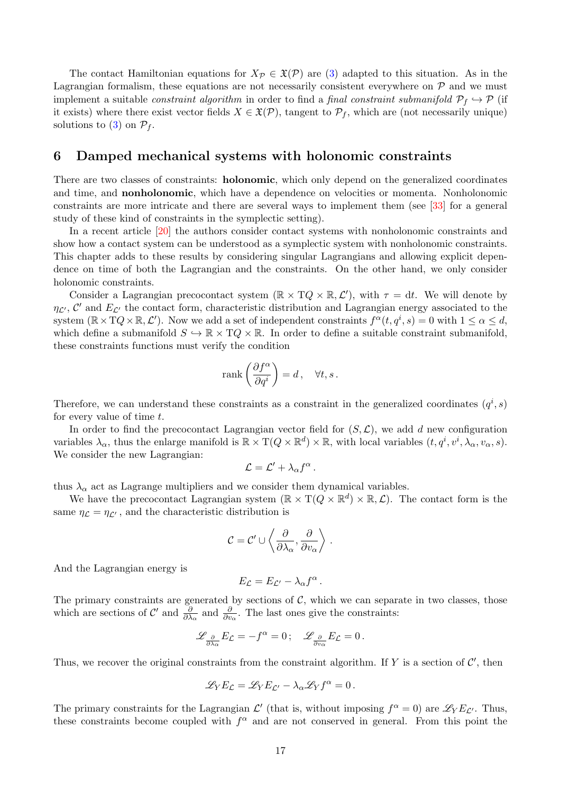The contact Hamiltonian equations for  $X_{\mathcal{P}} \in \mathfrak{X}(\mathcal{P})$  are [\(3\)](#page-8-2) adapted to this situation. As in the Lagrangian formalism, these equations are not necessarily consistent everywhere on  $P$  and we must implement a suitable *constraint algorithm* in order to find a *final constraint submanifold*  $\mathcal{P}_f \hookrightarrow \mathcal{P}$  (if it exists) where there exist vector fields  $X \in \mathfrak{X}(\mathcal{P})$ , tangent to  $\mathcal{P}_f$ , which are (not necessarily unique) solutions to [\(3\)](#page-8-2) on  $\mathcal{P}_f$ .

### <span id="page-16-0"></span>6 Damped mechanical systems with holonomic constraints

There are two classes of constraints: **holonomic**, which only depend on the generalized coordinates and time, and nonholonomic, which have a dependence on velocities or momenta. Nonholonomic constraints are more intricate and there are several ways to implement them (see [\[33\]](#page-26-12) for a general study of these kind of constraints in the symplectic setting).

In a recent article  $[20]$  the authors consider contact systems with nonholonomic constraints and show how a contact system can be understood as a symplectic system with nonholonomic constraints. This chapter adds to these results by considering singular Lagrangians and allowing explicit dependence on time of both the Lagrangian and the constraints. On the other hand, we only consider holonomic constraints.

Consider a Lagrangian precocontact system  $(\mathbb{R} \times TQ \times \mathbb{R}, \mathcal{L}')$ , with  $\tau = dt$ . We will denote by  $\eta_{\mathcal{L}'}, \mathcal{C}'$  and  $E_{\mathcal{L}'}$  the contact form, characteristic distribution and Lagrangian energy associated to the system  $(\mathbb{R} \times TQ \times \mathbb{R}, \mathcal{L}')$ . Now we add a set of independent constraints  $f^{\alpha}(t, q^{i}, s) = 0$  with  $1 \leq \alpha \leq d$ , which define a submanifold  $S \hookrightarrow \mathbb{R} \times TQ \times \mathbb{R}$ . In order to define a suitable constraint submanifold, these constraints functions must verify the condition

$$
rank\left(\frac{\partial f^{\alpha}}{\partial q^i}\right) = d, \quad \forall t, s.
$$

Therefore, we can understand these constraints as a constraint in the generalized coordinates  $(q<sup>i</sup>, s)$ for every value of time  $t$ .

In order to find the precocontact Lagrangian vector field for  $(S, \mathcal{L})$ , we add d new configuration variables  $\lambda_{\alpha}$ , thus the enlarge manifold is  $\mathbb{R} \times T(Q \times \mathbb{R}^d) \times \mathbb{R}$ , with local variables  $(t, q^i, v^i, \lambda_{\alpha}, v_{\alpha}, s)$ . We consider the new Lagrangian:

$$
\mathcal{L}=\mathcal{L}'+\lambda_{\alpha}f^{\alpha}.
$$

thus  $\lambda_{\alpha}$  act as Lagrange multipliers and we consider them dynamical variables.

We have the precocontact Lagrangian system  $(\mathbb{R} \times T(Q \times \mathbb{R}^d) \times \mathbb{R}, \mathcal{L})$ . The contact form is the same  $\eta_{\mathcal{L}} = \eta_{\mathcal{L}'}$ , and the characteristic distribution is

$$
\mathcal{C} = \mathcal{C}' \cup \left\langle \frac{\partial}{\partial \lambda_{\alpha}}, \frac{\partial}{\partial v_{\alpha}} \right\rangle.
$$

And the Lagrangian energy is

$$
E_{\mathcal{L}}=E_{\mathcal{L}'}-\lambda_{\alpha}f^{\alpha}.
$$

The primary constraints are generated by sections of  $C$ , which we can separate in two classes, those which are sections of  $\mathcal{C}'$  and  $\frac{\partial}{\partial \lambda_{\alpha}}$  and  $\frac{\partial}{\partial v_{\alpha}}$ . The last ones give the constraints:

$$
\mathscr{L}_{\frac{\partial}{\partial \lambda_{\alpha}}}E_{\mathcal{L}}=-f^{\alpha}=0\,;\quad \mathscr{L}_{\frac{\partial}{\partial v_{\alpha}}}E_{\mathcal{L}}=0\,.
$$

Thus, we recover the original constraints from the constraint algorithm. If Y is a section of  $\mathcal{C}'$ , then

$$
\mathscr{L}_Y E_{\mathcal{L}} = \mathscr{L}_Y E_{\mathcal{L}'} - \lambda_\alpha \mathscr{L}_Y f^\alpha = 0.
$$

The primary constraints for the Lagrangian  $\mathcal{L}'$  (that is, without imposing  $f^{\alpha} = 0$ ) are  $\mathscr{L}_Y E_{\mathcal{L}'}$ . Thus, these constraints become coupled with  $f^{\alpha}$  and are not conserved in general. From this point the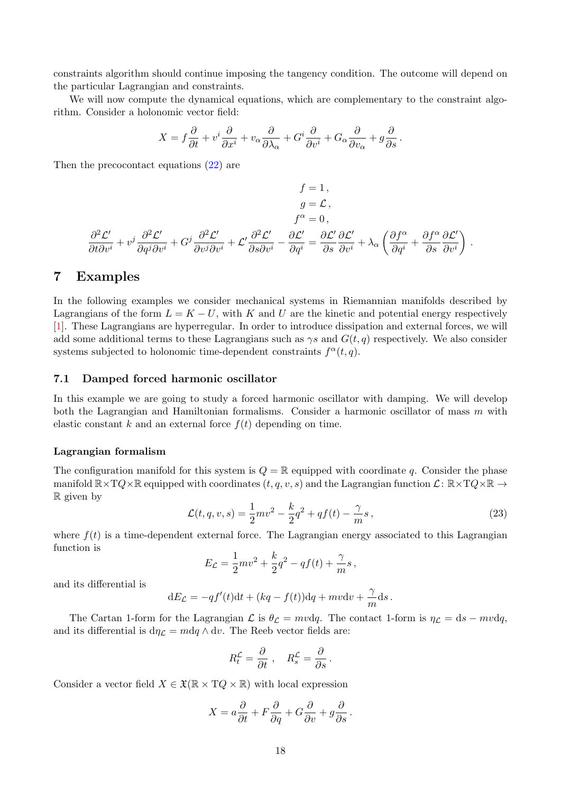constraints algorithm should continue imposing the tangency condition. The outcome will depend on the particular Lagrangian and constraints.

We will now compute the dynamical equations, which are complementary to the constraint algorithm. Consider a holonomic vector field:

$$
X = f\frac{\partial}{\partial t} + v^i \frac{\partial}{\partial x^i} + v_\alpha \frac{\partial}{\partial \lambda_\alpha} + G^i \frac{\partial}{\partial v^i} + G_\alpha \frac{\partial}{\partial v_\alpha} + g\frac{\partial}{\partial s}.
$$

Then the precocontact equations [\(22\)](#page-14-1) are

$$
f = 1,
$$
  
\n
$$
g = \mathcal{L},
$$
  
\n
$$
f^{\alpha} = 0,
$$
  
\n
$$
\frac{\partial^2 \mathcal{L}'}{\partial t \partial v^i} + v^j \frac{\partial^2 \mathcal{L}'}{\partial q^j \partial v^i} + G^j \frac{\partial^2 \mathcal{L}'}{\partial v^j \partial v^i} + \mathcal{L}' \frac{\partial^2 \mathcal{L}'}{\partial s \partial v^i} - \frac{\partial \mathcal{L}'}{\partial q^i} = \frac{\partial \mathcal{L}'}{\partial s} \frac{\partial \mathcal{L}'}{\partial v^i} + \lambda_\alpha \left( \frac{\partial f^\alpha}{\partial q^i} + \frac{\partial f^\alpha}{\partial s} \frac{\partial \mathcal{L}'}{\partial v^i} \right).
$$

### <span id="page-17-0"></span>7 Examples

In the following examples we consider mechanical systems in Riemannian manifolds described by Lagrangians of the form  $L = K - U$ , with K and U are the kinetic and potential energy respectively [\[1\]](#page-24-2). These Lagrangians are hyperregular. In order to introduce dissipation and external forces, we will add some additional terms to these Lagrangians such as  $\gamma s$  and  $G(t, q)$  respectively. We also consider systems subjected to holonomic time-dependent constraints  $f^{\alpha}(t, q)$ .

#### <span id="page-17-1"></span>7.1 Damped forced harmonic oscillator

In this example we are going to study a forced harmonic oscillator with damping. We will develop both the Lagrangian and Hamiltonian formalisms. Consider a harmonic oscillator of mass m with elastic constant k and an external force  $f(t)$  depending on time.

#### Lagrangian formalism

<span id="page-17-2"></span>The configuration manifold for this system is  $Q = \mathbb{R}$  equipped with coordinate q. Consider the phase manifold  $\mathbb{R}\times TQ\times\mathbb{R}$  equipped with coordinates  $(t, q, v, s)$  and the Lagrangian function  $\mathcal{L}: \mathbb{R}\times TQ\times\mathbb{R} \to$ R given by

$$
\mathcal{L}(t, q, v, s) = \frac{1}{2}mv^2 - \frac{k}{2}q^2 + qf(t) - \frac{\gamma}{m}s,
$$
\n(23)

where  $f(t)$  is a time-dependent external force. The Lagrangian energy associated to this Lagrangian function is

$$
E_{\mathcal{L}} = \frac{1}{2}mv^2 + \frac{k}{2}q^2 - qf(t) + \frac{\gamma}{m}s,
$$

and its differential is

$$
dE_{\mathcal{L}} = -qf'(t)dt + (kq - f(t))dq + mvdv + \frac{\gamma}{m}ds.
$$

The Cartan 1-form for the Lagrangian  $\mathcal L$  is  $\theta_{\mathcal L} = mvdq$ . The contact 1-form is  $\eta_{\mathcal L} = ds - mvdq$ , and its differential is  $d\eta_{\mathcal{L}} = m dq \wedge dv$ . The Reeb vector fields are:

$$
R_t^{\mathcal{L}} = \frac{\partial}{\partial t} , \quad R_s^{\mathcal{L}} = \frac{\partial}{\partial s} .
$$

Consider a vector field  $X \in \mathfrak{X}(\mathbb{R} \times TQ \times \mathbb{R})$  with local expression

$$
X = a\frac{\partial}{\partial t} + F\frac{\partial}{\partial q} + G\frac{\partial}{\partial v} + g\frac{\partial}{\partial s}.
$$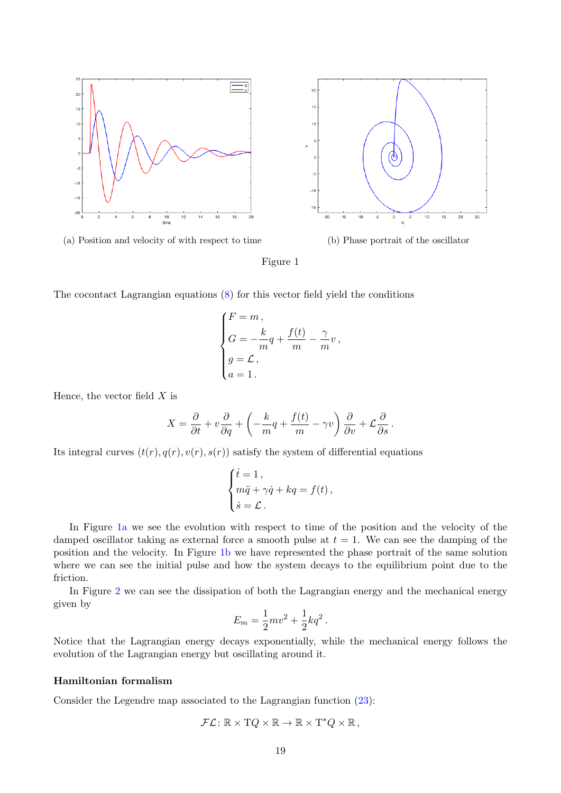<span id="page-18-0"></span>



The cocontact Lagrangian equations [\(8\)](#page-11-3) for this vector field yield the conditions

$$
\begin{cases}\nF = m, \\
G = -\frac{k}{m}q + \frac{f(t)}{m} - \frac{\gamma}{m}v, \\
g = \mathcal{L}, \\
a = 1.\n\end{cases}
$$

Hence, the vector field  $X$  is

$$
X = \frac{\partial}{\partial t} + v \frac{\partial}{\partial q} + \left( -\frac{k}{m}q + \frac{f(t)}{m} - \gamma v \right) \frac{\partial}{\partial v} + \mathcal{L} \frac{\partial}{\partial s}.
$$

Its integral curves  $(t(r), q(r), v(r), s(r))$  satisfy the system of differential equations

$$
\begin{cases}\n\dot{t} = 1, \\
m\ddot{q} + \gamma \dot{q} + kq = f(t), \\
\dot{s} = \mathcal{L}.\n\end{cases}
$$

In Figure [1a](#page-18-0) we see the evolution with respect to time of the position and the velocity of the damped oscillator taking as external force a smooth pulse at  $t = 1$ . We can see the damping of the position and the velocity. In Figure [1b](#page-18-0) we have represented the phase portrait of the same solution where we can see the initial pulse and how the system decays to the equilibrium point due to the friction.

In Figure [2](#page-19-0) we can see the dissipation of both the Lagrangian energy and the mechanical energy given by

$$
E_m = \frac{1}{2}mv^2 + \frac{1}{2}kq^2.
$$

Notice that the Lagrangian energy decays exponentially, while the mechanical energy follows the evolution of the Lagrangian energy but oscillating around it.

#### Hamiltonian formalism

Consider the Legendre map associated to the Lagrangian function [\(23\)](#page-17-2):

$$
\mathcal{FL} \colon \mathbb{R} \times TQ \times \mathbb{R} \to \mathbb{R} \times T^*Q \times \mathbb{R},
$$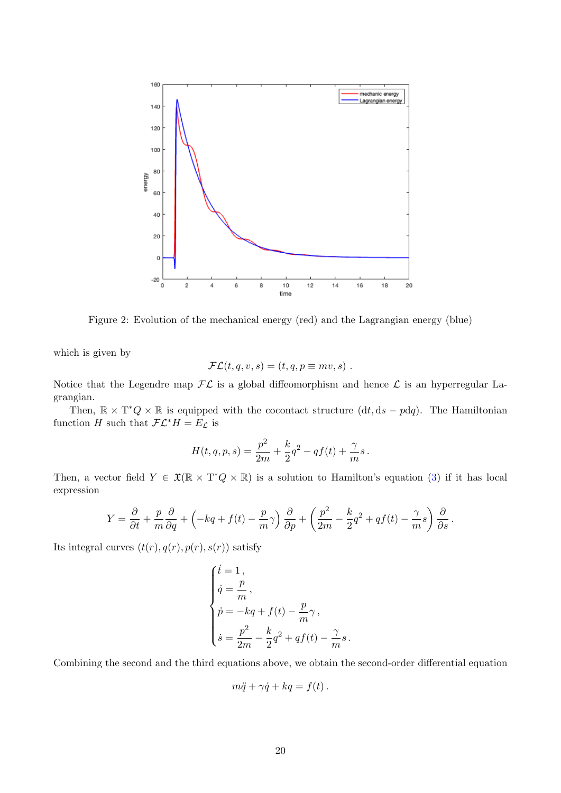<span id="page-19-0"></span>

Figure 2: Evolution of the mechanical energy (red) and the Lagrangian energy (blue)

which is given by

$$
\mathcal{FL}(t,q,v,s) = (t,q,p \equiv mv,s) .
$$

Notice that the Legendre map  $\mathcal{FL}$  is a global diffeomorphism and hence  $\mathcal L$  is an hyperregular Lagrangian.

Then,  $\mathbb{R} \times T^*Q \times \mathbb{R}$  is equipped with the cocontact structure  $(dt, ds - pdq)$ . The Hamiltonian function H such that  $\mathcal{FL}^*H = E_{\mathcal{L}}$  is

$$
H(t,q,p,s) = \frac{p^2}{2m} + \frac{k}{2}q^2 - qf(t) + \frac{\gamma}{m}s.
$$

Then, a vector field  $Y \in \mathfrak{X}(\mathbb{R} \times T^*Q \times \mathbb{R})$  is a solution to Hamilton's equation [\(3\)](#page-8-2) if it has local expression

$$
Y = \frac{\partial}{\partial t} + \frac{p}{m} \frac{\partial}{\partial q} + \left( -kq + f(t) - \frac{p}{m} \gamma \right) \frac{\partial}{\partial p} + \left( \frac{p^2}{2m} - \frac{k}{2} q^2 + q f(t) - \frac{\gamma}{m} s \right) \frac{\partial}{\partial s}.
$$

Its integral curves  $(t(r), q(r), p(r), s(r))$  satisfy

$$
\left\{ \begin{aligned} &\dot{t}=1\,,\\ &\dot{q}=\frac{p}{m}\,,\\ &\dot{p}=-kq+f(t)-\frac{p}{m}\gamma\,,\\ &\dot{s}=\frac{p^2}{2m}-\frac{k}{2}q^2+qf(t)-\frac{\gamma}{m}s\,. \end{aligned} \right.
$$

Combining the second and the third equations above, we obtain the second-order differential equation

$$
m\ddot{q} + \gamma \dot{q} + kq = f(t) .
$$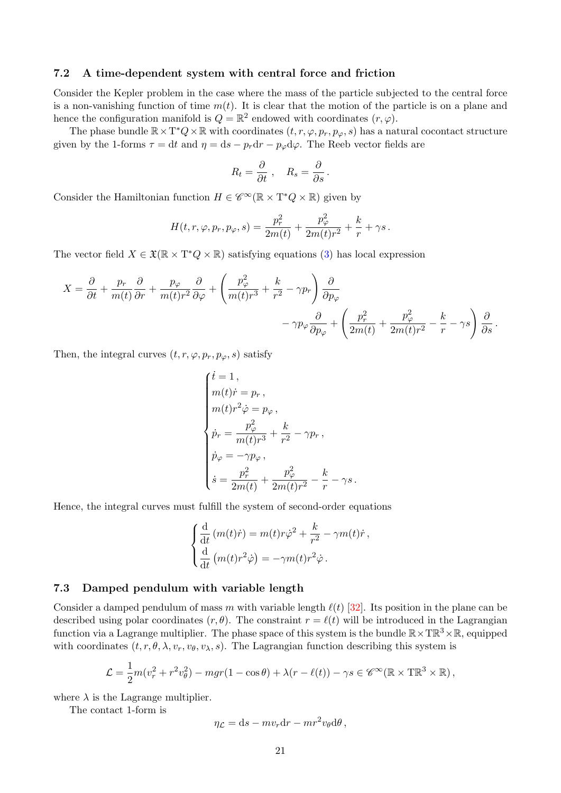#### <span id="page-20-0"></span>7.2 A time-dependent system with central force and friction

Consider the Kepler problem in the case where the mass of the particle subjected to the central force is a non-vanishing function of time  $m(t)$ . It is clear that the motion of the particle is on a plane and hence the configuration manifold is  $Q = \mathbb{R}^2$  endowed with coordinates  $(r, \varphi)$ .

The phase bundle  $\mathbb{R} \times T^*Q \times \mathbb{R}$  with coordinates  $(t, r, \varphi, p_r, p_\varphi, s)$  has a natural cocontact structure given by the 1-forms  $\tau = dt$  and  $\eta = ds - p_r dr - p_\varphi d\varphi$ . The Reeb vector fields are

$$
R_t = \frac{\partial}{\partial t} , \quad R_s = \frac{\partial}{\partial s} .
$$

Consider the Hamiltonian function  $H \in \mathscr{C}^{\infty}(\mathbb{R} \times T^*Q \times \mathbb{R})$  given by

$$
H(t,r,\varphi,p_r,p_\varphi,s)=\frac{p_r^2}{2m(t)}+\frac{p_\varphi^2}{2m(t)r^2}+\frac{k}{r}+\gamma s\,.
$$

The vector field  $X \in \mathfrak{X}(\mathbb{R} \times \mathbb{T}^*Q \times \mathbb{R})$  satisfying equations [\(3\)](#page-8-2) has local expression

$$
X = \frac{\partial}{\partial t} + \frac{p_r}{m(t)} \frac{\partial}{\partial r} + \frac{p_\varphi}{m(t)r^2} \frac{\partial}{\partial \varphi} + \left(\frac{p_\varphi^2}{m(t)r^3} + \frac{k}{r^2} - \gamma p_r\right) \frac{\partial}{\partial p_\varphi} - \gamma p_\varphi \frac{\partial}{\partial p_\varphi} + \left(\frac{p_r^2}{2m(t)} + \frac{p_\varphi^2}{2m(t)r^2} - \frac{k}{r} - \gamma s\right) \frac{\partial}{\partial s}.
$$

Then, the integral curves  $(t, r, \varphi, p_r, p_\varphi, s)$  satisfy

$$
\left\{ \begin{aligned} &\dot{t}=1\,,\\ &m(t)\dot{r}=p_r\,,\\ &m(t)r^2\dot{\varphi}=p_{\varphi}\,,\\ &\dot{p}_r=\frac{p_{\varphi}^2}{m(t)r^3}+\frac{k}{r^2}-\gamma p_r\,,\\ &\dot{p}_{\varphi}=-\gamma p_{\varphi}\,,\\ &\dot{s}=\frac{p_r^2}{2m(t)}+\frac{p_{\varphi}^2}{2m(t)r^2}-\frac{k}{r}-\gamma s\,. \end{aligned} \right.
$$

Hence, the integral curves must fulfill the system of second-order equations

$$
\begin{cases}\n\frac{\mathrm{d}}{\mathrm{d}t}(m(t)\dot{r}) = m(t)r\dot{\varphi}^2 + \frac{k}{r^2} - \gamma m(t)\dot{r}, \\
\frac{\mathrm{d}}{\mathrm{d}t}(m(t)r^2\dot{\varphi}) = -\gamma m(t)r^2\dot{\varphi}.\n\end{cases}
$$

#### <span id="page-20-1"></span>7.3 Damped pendulum with variable length

Consider a damped pendulum of mass m with variable length  $\ell(t)$  [\[32\]](#page-26-13). Its position in the plane can be described using polar coordinates  $(r, \theta)$ . The constraint  $r = \ell(t)$  will be introduced in the Lagrangian function via a Lagrange multiplier. The phase space of this system is the bundle  $\mathbb{R}\times T\mathbb{R}^3\times\mathbb{R}$ , equipped with coordinates  $(t, r, \theta, \lambda, v_r, v_{\theta}, v_{\lambda}, s)$ . The Lagrangian function describing this system is

$$
\mathcal{L} = \frac{1}{2}m(v_r^2 + r^2v_\theta^2) - mgr(1 - \cos\theta) + \lambda(r - \ell(t)) - \gamma s \in \mathscr{C}^\infty(\mathbb{R} \times \mathbb{T}\mathbb{R}^3 \times \mathbb{R}),
$$

where  $\lambda$  is the Lagrange multiplier.

The contact 1-form is

$$
\eta_{\mathcal{L}} = ds - mv_r dr - mr^2 v_{\theta} d\theta,
$$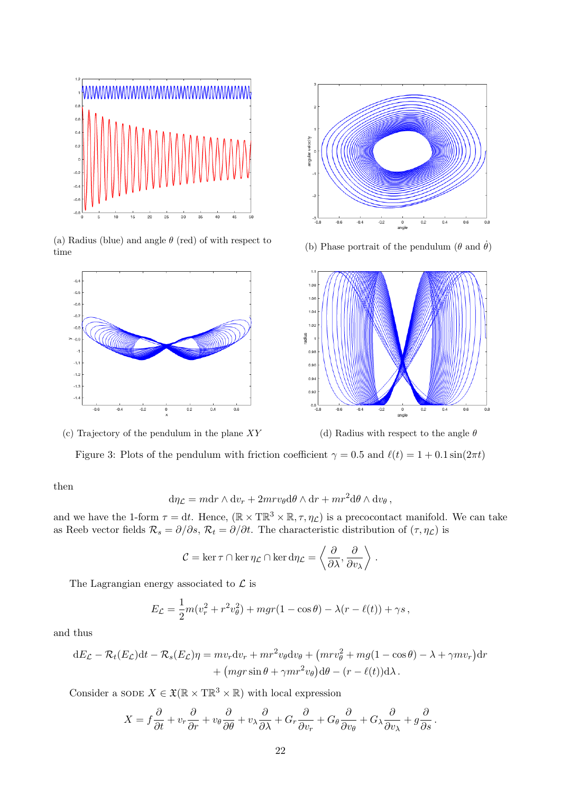<span id="page-21-0"></span>

(a) Radius (blue) and angle  $\theta$  (red) of with respect to (a) reading (b) and angle  $\theta$  (red) of with respect to (b) Phase portrait of the pendulum ( $\theta$  and  $\dot{\theta}$ ) time



(c) Trajectory of the pendulum in the plane  $XY$  (d) Radius with respect to the angle  $\theta$ 





.

Figure 3: Plots of the pendulum with friction coefficient  $\gamma = 0.5$  and  $\ell(t) = 1 + 0.1 \sin(2\pi t)$ 

then

$$
d\eta_{\mathcal{L}} = m dr \wedge dv_r + 2mr v_{\theta} d\theta \wedge dr + mr^2 d\theta \wedge dv_{\theta},
$$

and we have the 1-form  $\tau = dt$ . Hence,  $(\mathbb{R} \times \mathbb{T} \mathbb{R}^3 \times \mathbb{R}, \tau, \eta_{\mathcal{L}})$  is a precocontact manifold. We can take as Reeb vector fields  $\mathcal{R}_s = \partial/\partial s$ ,  $\mathcal{R}_t = \partial/\partial t$ . The characteristic distribution of  $(\tau, \eta_c)$  is

$$
C = \ker \tau \cap \ker \eta_{\mathcal{L}} \cap \ker d\eta_{\mathcal{L}} = \left\langle \frac{\partial}{\partial \lambda}, \frac{\partial}{\partial v_{\lambda}} \right\rangle
$$

The Lagrangian energy associated to  $\mathcal L$  is

$$
E_{\mathcal{L}} = \frac{1}{2}m(v_r^2 + r^2v_\theta^2) + mgr(1 - \cos\theta) - \lambda(r - \ell(t)) + \gamma s,
$$

and thus

$$
dE_{\mathcal{L}} - \mathcal{R}_t(E_{\mathcal{L}})dt - \mathcal{R}_s(E_{\mathcal{L}})\eta = m v_r dv_r + mr^2 v_\theta dv_\theta + \left(mrv_\theta^2 + mg(1 - \cos\theta) - \lambda + \gamma m v_r\right)dr + \left(mgr\sin\theta + \gamma mr^2 v_\theta\right)d\theta - \left(r - \ell(t)\right)d\lambda.
$$

Consider a SODE  $X \in \mathfrak{X}(\mathbb{R} \times \mathbb{T}\mathbb{R}^3 \times \mathbb{R})$  with local expression

$$
X = f\frac{\partial}{\partial t} + v_r \frac{\partial}{\partial r} + v_\theta \frac{\partial}{\partial \theta} + v_\lambda \frac{\partial}{\partial \lambda} + G_r \frac{\partial}{\partial v_r} + G_\theta \frac{\partial}{\partial v_\theta} + G_\lambda \frac{\partial}{\partial v_\lambda} + g\frac{\partial}{\partial s}.
$$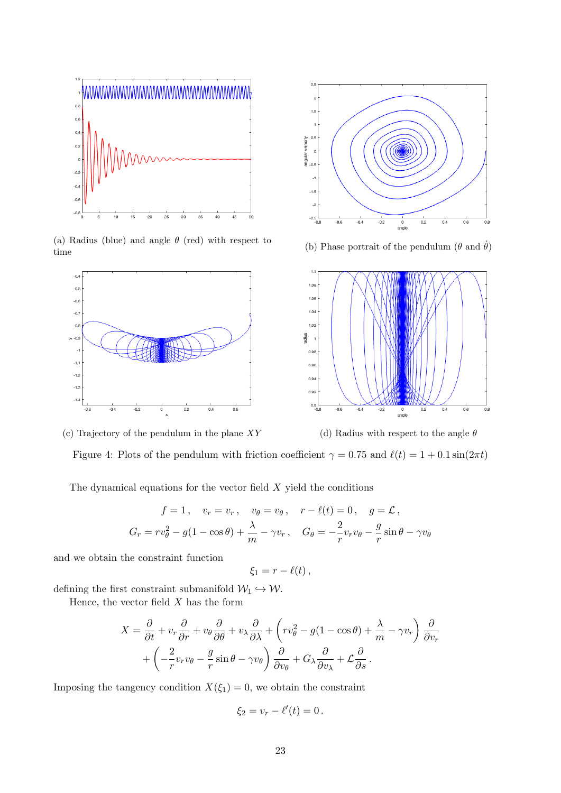<span id="page-22-0"></span>

(a) Radius (blue) and angle  $\theta$  (red) with respect to (a) Radius (blue) and angle  $\theta$  (red) with respect to (b) Phase portrait of the pendulum ( $\theta$  and  $\dot{\theta}$ ) time



 $\overline{2}$  $\overline{1}$  $\mathbf{0}$ velocity angular  $-0$  $-1.5$  $-2.5$  $\overline{0.6}$ 0<br>angle



(c) Trajectory of the pendulum in the plane  $XY$  (d) Radius with respect to the angle  $\theta$ 

Figure 4: Plots of the pendulum with friction coefficient  $\gamma = 0.75$  and  $\ell(t) = 1 + 0.1 \sin(2\pi t)$ 

The dynamical equations for the vector field  $X$  yield the conditions

$$
f = 1, \quad v_r = v_r, \quad v_\theta = v_\theta, \quad r - \ell(t) = 0, \quad g = \mathcal{L},
$$
  

$$
G_r = r v_\theta^2 - g(1 - \cos \theta) + \frac{\lambda}{m} - \gamma v_r, \quad G_\theta = -\frac{2}{r} v_r v_\theta - \frac{g}{r} \sin \theta - \gamma v_\theta
$$

and we obtain the constraint function

$$
\xi_1=r-\ell(t)\,,
$$

defining the first constraint submanifold  $\mathcal{W}_1 \hookrightarrow \mathcal{W}$ .

Hence, the vector field  $X$  has the form

$$
X = \frac{\partial}{\partial t} + v_r \frac{\partial}{\partial r} + v_\theta \frac{\partial}{\partial \theta} + v_\lambda \frac{\partial}{\partial \lambda} + \left( r v_\theta^2 - g(1 - \cos \theta) + \frac{\lambda}{m} - \gamma v_r \right) \frac{\partial}{\partial v_r} + \left( -\frac{2}{r} v_r v_\theta - \frac{g}{r} \sin \theta - \gamma v_\theta \right) \frac{\partial}{\partial v_\theta} + G_\lambda \frac{\partial}{\partial v_\lambda} + \mathcal{L} \frac{\partial}{\partial s}.
$$

Imposing the tangency condition  $X(\xi_1) = 0$ , we obtain the constraint

$$
\xi_2=v_r-\ell'(t)=0.
$$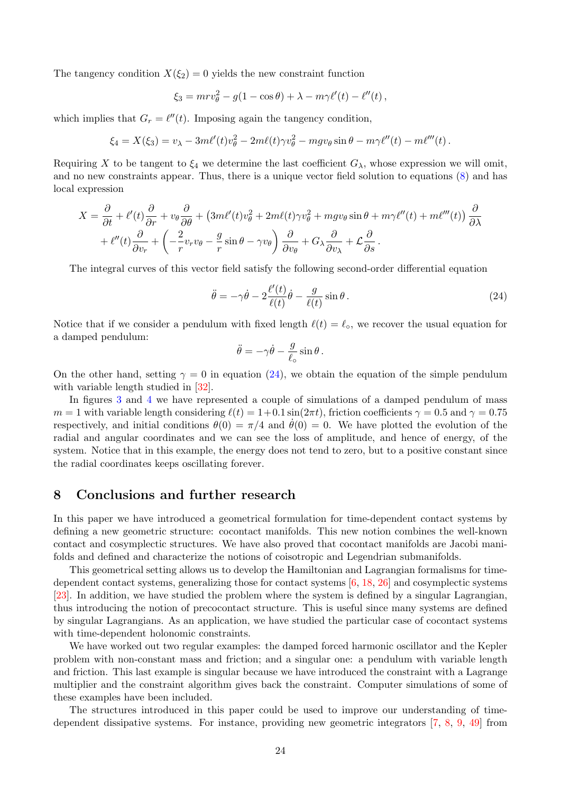The tangency condition  $X(\xi_2) = 0$  yields the new constraint function

$$
\xi_3 = mrv_{\theta}^2 - g(1 - \cos\theta) + \lambda - m\gamma\ell'(t) - \ell''(t),
$$

which implies that  $G_r = \ell''(t)$ . Imposing again the tangency condition,

$$
\xi_4 = X(\xi_3) = v_\lambda - 3m\ell'(t)v_\theta^2 - 2m\ell(t)\gamma v_\theta^2 - mgv_\theta \sin\theta - m\gamma\ell''(t) - m\ell'''(t).
$$

Requiring X to be tangent to  $\xi_4$  we determine the last coefficient  $G_\lambda$ , whose expression we will omit, and no new constraints appear. Thus, there is a unique vector field solution to equations [\(8\)](#page-11-3) and has local expression

$$
X = \frac{\partial}{\partial t} + \ell'(t)\frac{\partial}{\partial r} + v_{\theta}\frac{\partial}{\partial \theta} + (3m\ell'(t)v_{\theta}^2 + 2m\ell(t)\gamma v_{\theta}^2 + mgv_{\theta}\sin\theta + m\gamma\ell''(t) + m\ell'''(t))\frac{\partial}{\partial \lambda} + \ell''(t)\frac{\partial}{\partial v_r} + \left(-\frac{2}{r}v_rv_{\theta} - \frac{g}{r}\sin\theta - \gamma v_{\theta}\right)\frac{\partial}{\partial v_{\theta}} + G_{\lambda}\frac{\partial}{\partial v_{\lambda}} + \mathcal{L}\frac{\partial}{\partial s}.
$$

The integral curves of this vector field satisfy the following second-order differential equation

$$
\ddot{\theta} = -\gamma \dot{\theta} - 2 \frac{\ell'(t)}{\ell(t)} \dot{\theta} - \frac{g}{\ell(t)} \sin \theta.
$$
\n(24)

Notice that if we consider a pendulum with fixed length  $\ell(t) = \ell_{\circ}$ , we recover the usual equation for a damped pendulum:

<span id="page-23-1"></span>
$$
\ddot{\theta} = -\gamma \dot{\theta} - \frac{g}{\ell_{\circ}} \sin \theta.
$$

On the other hand, setting  $\gamma = 0$  in equation [\(24\)](#page-23-1), we obtain the equation of the simple pendulum with variable length studied in [\[32\]](#page-26-13).

In figures [3](#page-21-0) and [4](#page-22-0) we have represented a couple of simulations of a damped pendulum of mass  $m = 1$  with variable length considering  $\ell(t) = 1+0.1 \sin(2\pi t)$ , friction coefficients  $\gamma = 0.5$  and  $\gamma = 0.75$ respectively, and initial conditions  $\theta(0) = \pi/4$  and  $\theta(0) = 0$ . We have plotted the evolution of the radial and angular coordinates and we can see the loss of amplitude, and hence of energy, of the system. Notice that in this example, the energy does not tend to zero, but to a positive constant since the radial coordinates keeps oscillating forever.

## <span id="page-23-0"></span>8 Conclusions and further research

In this paper we have introduced a geometrical formulation for time-dependent contact systems by defining a new geometric structure: cocontact manifolds. This new notion combines the well-known contact and cosymplectic structures. We have also proved that cocontact manifolds are Jacobi manifolds and defined and characterize the notions of coisotropic and Legendrian submanifolds.

This geometrical setting allows us to develop the Hamiltonian and Lagrangian formalisms for timedependent contact systems, generalizing those for contact systems [\[6,](#page-24-9) [18,](#page-25-6) [26\]](#page-26-3) and cosymplectic systems [\[23\]](#page-25-7). In addition, we have studied the problem where the system is defined by a singular Lagrangian, thus introducing the notion of precocontact structure. This is useful since many systems are defined by singular Lagrangians. As an application, we have studied the particular case of cocontact systems with time-dependent holonomic constraints.

We have worked out two regular examples: the damped forced harmonic oscillator and the Kepler problem with non-constant mass and friction; and a singular one: a pendulum with variable length and friction. This last example is singular because we have introduced the constraint with a Lagrange multiplier and the constraint algorithm gives back the constraint. Computer simulations of some of these examples have been included.

The structures introduced in this paper could be used to improve our understanding of timedependent dissipative systems. For instance, providing new geometric integrators [\[7,](#page-24-7) [8,](#page-24-8) [9,](#page-24-10) [49\]](#page-27-6) from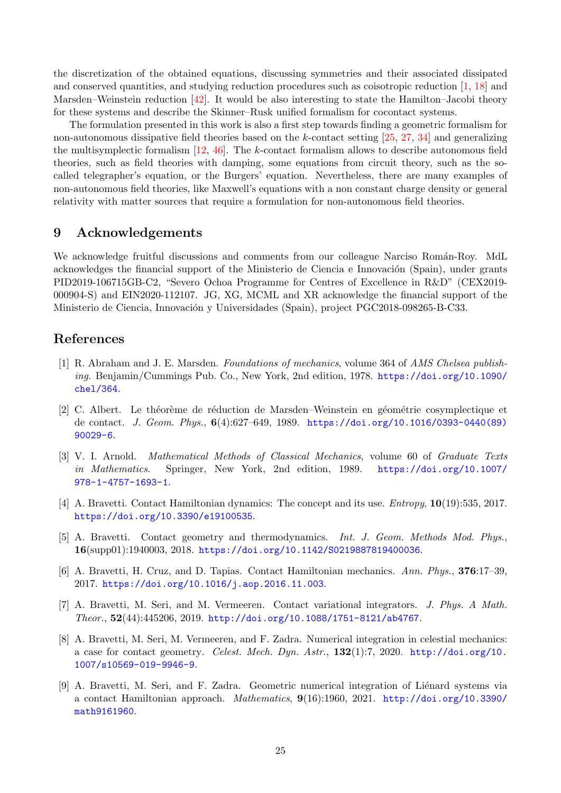the discretization of the obtained equations, discussing symmetries and their associated dissipated and conserved quantities, and studying reduction procedures such as coisotropic reduction [\[1,](#page-24-2) [18\]](#page-25-6) and Marsden–Weinstein reduction [\[42\]](#page-26-14). It would be also interesting to state the Hamilton–Jacobi theory for these systems and describe the Skinner–Rusk unified formalism for cocontact systems.

The formulation presented in this work is also a first step towards finding a geometric formalism for non-autonomous dissipative field theories based on the k-contact setting [\[25,](#page-25-14) [27,](#page-26-15) [34\]](#page-26-16) and generalizing the multisymplectic formalism [\[12,](#page-25-15) [46\]](#page-27-7). The k-contact formalism allows to describe autonomous field theories, such as field theories with damping, some equations from circuit theory, such as the socalled telegrapher's equation, or the Burgers' equation. Nevertheless, there are many examples of non-autonomous field theories, like Maxwell's equations with a non constant charge density or general relativity with matter sources that require a formulation for non-autonomous field theories.

## <span id="page-24-0"></span>9 Acknowledgements

We acknowledge fruitful discussions and comments from our colleague Narciso Román-Roy. MdL acknowledges the financial support of the Ministerio de Ciencia e Innovación (Spain), under grants PID2019-106715GB-C2, "Severo Ochoa Programme for Centres of Excellence in R&D" (CEX2019- 000904-S) and EIN2020-112107. JG, XG, MCML and XR acknowledge the financial support of the Ministerio de Ciencia, Innovación y Universidades (Spain), project PGC2018-098265-B-C33.

## <span id="page-24-1"></span>References

- <span id="page-24-2"></span>[1] R. Abraham and J. E. Marsden. Foundations of mechanics, volume 364 of AMS Chelsea publishing. Benjamin/Cummings Pub. Co., New York, 2nd edition, 1978. [https://doi.org/10.1090/](https://doi.org/10.1090/chel/364) [chel/364](https://doi.org/10.1090/chel/364).
- <span id="page-24-4"></span>[2] C. Albert. Le théorème de réduction de Marsden–Weinstein en géométrie cosymplectique et de contact. J. Geom. Phys., 6(4):627–649, 1989. [https://doi.org/10.1016/0393-0440\(89\)](https://doi.org/10.1016/0393-0440(89)90029-6) [90029-6](https://doi.org/10.1016/0393-0440(89)90029-6).
- <span id="page-24-3"></span>[3] V. I. Arnold. Mathematical Methods of Classical Mechanics, volume 60 of Graduate Texts in Mathematics. Springer, New York, 2nd edition, 1989. [https://doi.org/10.1007/](https://doi.org/10.1007/978-1-4757-1693-1) [978-1-4757-1693-1](https://doi.org/10.1007/978-1-4757-1693-1).
- <span id="page-24-5"></span>[4] A. Bravetti. Contact Hamiltonian dynamics: The concept and its use. Entropy, 10(19):535, 2017. <https://doi.org/10.3390/e19100535>.
- <span id="page-24-6"></span>[5] A. Bravetti. Contact geometry and thermodynamics. Int. J. Geom. Methods Mod. Phys., 16(supp01):1940003, 2018. <https://doi.org/10.1142/S0219887819400036>.
- <span id="page-24-9"></span>[6] A. Bravetti, H. Cruz, and D. Tapias. Contact Hamiltonian mechanics. Ann. Phys., 376:17–39, 2017. <https://doi.org/10.1016/j.aop.2016.11.003>.
- <span id="page-24-7"></span>[7] A. Bravetti, M. Seri, and M. Vermeeren. Contact variational integrators. J. Phys. A Math. Theor., 52(44):445206, 2019. <http://doi.org/10.1088/1751-8121/ab4767>.
- <span id="page-24-8"></span>[8] A. Bravetti, M. Seri, M. Vermeeren, and F. Zadra. Numerical integration in celestial mechanics: a case for contact geometry. Celest. Mech. Dyn.  $Astr.$ , 132(1):7, 2020. [http://doi.org/10.](http://doi.org/10.1007/s10569-019-9946-9) [1007/s10569-019-9946-9](http://doi.org/10.1007/s10569-019-9946-9).
- <span id="page-24-10"></span>[9] A. Bravetti, M. Seri, and F. Zadra. Geometric numerical integration of Liénard systems via a contact Hamiltonian approach. Mathematics, 9(16):1960, 2021. [http://doi.org/10.3390/](http://doi.org/10.3390/math9161960) [math9161960](http://doi.org/10.3390/math9161960).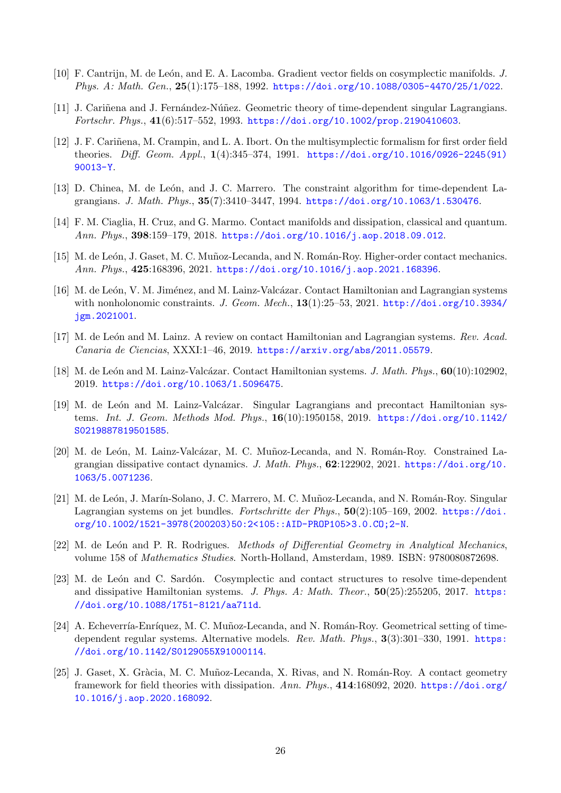- <span id="page-25-3"></span>[10] F. Cantrijn, M. de León, and E. A. Lacomba. Gradient vector fields on cosymplectic manifolds. J. Phys. A: Math. Gen., 25(1):175–188, 1992. <https://doi.org/10.1088/0305-4470/25/1/022>.
- <span id="page-25-0"></span>[11] J. Cariñena and J. Fernández-Núñez. Geometric theory of time-dependent singular Lagrangians. Fortschr. Phys., 41(6):517–552, 1993. [https://doi.org/10.1002/prop.2190410603](https://doi.org/10.1002/prop. 2190410603).
- <span id="page-25-15"></span>[12] J. F. Cariñena, M. Crampin, and L. A. Ibort. On the multisymplectic formalism for first order field theories. Diff. Geom. Appl., 1(4):345–374, 1991. [https://doi.org/10.1016/0926-2245\(91\)](https://doi.org/10.1016/0926-2245(91)90013-Y) [90013-Y](https://doi.org/10.1016/0926-2245(91)90013-Y).
- <span id="page-25-4"></span>[13] D. Chinea, M. de León, and J. C. Marrero. The constraint algorithm for time-dependent Lagrangians. J. Math. Phys., 35(7):3410–3447, 1994. <https://doi.org/10.1063/1.530476>.
- <span id="page-25-8"></span>[14] F. M. Ciaglia, H. Cruz, and G. Marmo. Contact manifolds and dissipation, classical and quantum. Ann. Phys., 398:159–179, 2018. <https://doi.org/10.1016/j.aop.2018.09.012>.
- <span id="page-25-9"></span>[15] M. de León, J. Gaset, M. C. Muñoz-Lecanda, and N. Román-Roy. Higher-order contact mechanics. Ann. Phys., 425:168396, 2021. <https://doi.org/10.1016/j.aop.2021.168396>.
- <span id="page-25-10"></span>[16] M. de León, V. M. Jiménez, and M. Lainz-Valcázar. Contact Hamiltonian and Lagrangian systems with nonholonomic constraints. J. Geom. Mech., 13(1):25-53, 2021. [http://doi.org/10.3934/](http://doi.org/10.3934/jgm.2021001) [jgm.2021001](http://doi.org/10.3934/jgm.2021001).
- <span id="page-25-11"></span>[17] M. de León and M. Lainz. A review on contact Hamiltonian and Lagrangian systems. Rev. Acad. Canaria de Ciencias, XXXI:1–46, 2019. <https://arxiv.org/abs/2011.05579>.
- <span id="page-25-6"></span>[18] M. de León and M. Lainz-Valcázar. Contact Hamiltonian systems. J. Math. Phys., 60(10):102902, 2019. <https://doi.org/10.1063/1.5096475>.
- <span id="page-25-12"></span>[19] M. de León and M. Lainz-Valcázar. Singular Lagrangians and precontact Hamiltonian systems. Int. J. Geom. Methods Mod. Phys., 16(10):1950158, 2019. [https://doi.org/10.1142/](https://doi.org/10.1142/S0219887819501585) [S0219887819501585](https://doi.org/10.1142/S0219887819501585).
- <span id="page-25-13"></span>[20] M. de León, M. Lainz-Valcázar, M. C. Muñoz-Lecanda, and N. Román-Roy. Constrained Lagrangian dissipative contact dynamics. J. Math. Phys., 62:122902, 2021. [https://doi.org/10.](https://doi.org/10.1063/5.0071236) [1063/5.0071236](https://doi.org/10.1063/5.0071236).
- <span id="page-25-1"></span>[21] M. de León, J. Marín-Solano, J. C. Marrero, M. C. Muñoz-Lecanda, and N. Román-Roy. Singular Lagrangian systems on jet bundles. Fortschritte der Phys.,  $50(2):105-169$ , 2002. [https://doi.](https://doi.org/10.1002/1521-3978(200203)50:2<105::AID-PROP105>3.0.CO;2-N) [org/10.1002/1521-3978\(200203\)50:2<105::AID-PROP105>3.0.CO;2-N](https://doi.org/10.1002/1521-3978(200203)50:2<105::AID-PROP105>3.0.CO;2-N).
- <span id="page-25-5"></span>[22] M. de León and P. R. Rodrigues. Methods of Differential Geometry in Analytical Mechanics, volume 158 of Mathematics Studies. North-Holland, Amsterdam, 1989. ISBN: 9780080872698.
- <span id="page-25-7"></span>[23] M. de León and C. Sardón. Cosymplectic and contact structures to resolve time-dependent and dissipative Hamiltonian systems. J. Phys. A: Math. Theor., 50(25):255205, 2017. [https:](https://doi.org/10.1088/1751-8121/aa711d) [//doi.org/10.1088/1751-8121/aa711d](https://doi.org/10.1088/1751-8121/aa711d).
- <span id="page-25-2"></span>[24] A. Echeverría-Enríquez, M. C. Muñoz-Lecanda, and N. Román-Roy. Geometrical setting of timedependent regular systems. Alternative models. Rev. Math. Phys., 3(3):301–330, 1991. [https:](https://doi.org/10.1142/S0129055X91000114) [//doi.org/10.1142/S0129055X91000114](https://doi.org/10.1142/S0129055X91000114).
- <span id="page-25-14"></span>[25] J. Gaset, X. Gràcia, M. C. Muñoz-Lecanda, X. Rivas, and N. Román-Roy. A contact geometry framework for field theories with dissipation. Ann. Phys., 414:168092, 2020. [https://doi.org/](https://doi.org/10.1016/j.aop.2020.168092) [10.1016/j.aop.2020.168092](https://doi.org/10.1016/j.aop.2020.168092).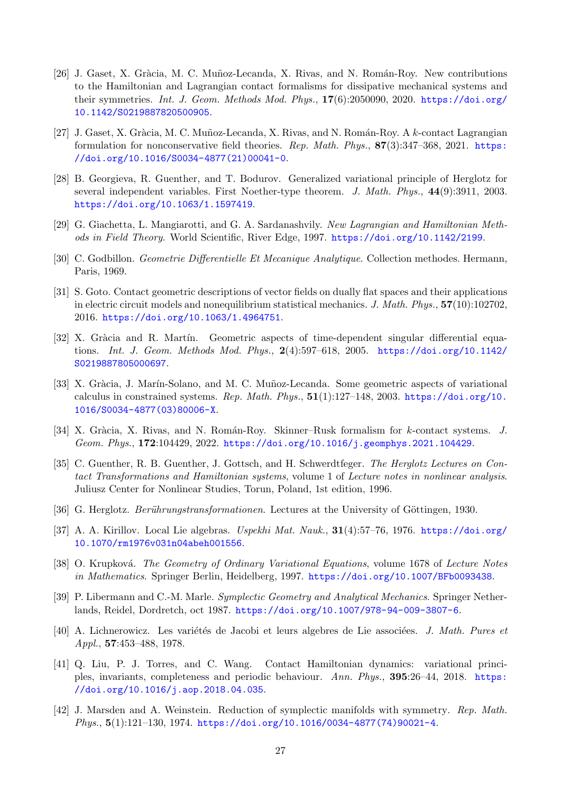- <span id="page-26-3"></span>[26] J. Gaset, X. Gràcia, M. C. Muñoz-Lecanda, X. Rivas, and N. Román-Roy. New contributions to the Hamiltonian and Lagrangian contact formalisms for dissipative mechanical systems and their symmetries. Int. J. Geom. Methods Mod. Phys.,  $17(6):2050090$ ,  $2020$ . [https://doi.org/](https://doi.org/10.1142/S0219887820500905) [10.1142/S0219887820500905](https://doi.org/10.1142/S0219887820500905).
- <span id="page-26-15"></span>[27] J. Gaset, X. Gràcia, M. C. Muñoz-Lecanda, X. Rivas, and N. Román-Roy. A k-contact Lagrangian formulation for nonconservative field theories. Rep. Math. Phys.,  $87(3):347-368$ , 2021. [https:](https://doi.org/10.1016/S0034-4877(21)00041-0) [//doi.org/10.1016/S0034-4877\(21\)00041-0](https://doi.org/10.1016/S0034-4877(21)00041-0).
- <span id="page-26-10"></span>[28] B. Georgieva, R. Guenther, and T. Bodurov. Generalized variational principle of Herglotz for several independent variables. First Noether-type theorem. J. Math. Phys., 44(9):3911, 2003. <https://doi.org/10.1063/1.1597419>.
- <span id="page-26-1"></span>[29] G. Giachetta, L. Mangiarotti, and G. A. Sardanashvily. New Lagrangian and Hamiltonian Methods in Field Theory. World Scientific, River Edge, 1997. <https://doi.org/10.1142/2199>.
- <span id="page-26-11"></span>[30] C. Godbillon. Geometrie Differentielle Et Mecanique Analytique. Collection methodes. Hermann, Paris, 1969.
- <span id="page-26-4"></span>[31] S. Goto. Contact geometric descriptions of vector fields on dually flat spaces and their applications in electric circuit models and nonequilibrium statistical mechanics. J. Math. Phys., 57(10):102702, 2016. <https://doi.org/10.1063/1.4964751>.
- <span id="page-26-13"></span>[32] X. Gràcia and R. Martín. Geometric aspects of time-dependent singular differential equations. Int. J. Geom. Methods Mod. Phys., 2(4):597–618, 2005. [https://doi.org/10.1142/](https://doi.org/10.1142/S0219887805000697) [S0219887805000697](https://doi.org/10.1142/S0219887805000697).
- <span id="page-26-12"></span>[33] X. Gràcia, J. Marín-Solano, and M. C. Muñoz-Lecanda. Some geometric aspects of variational calculus in constrained systems. Rep. Math. Phys.,  $51(1):127-148$ , 2003. [https://doi.org/10.](https://doi.org/10.1016/S0034-4877(03)80006-X) [1016/S0034-4877\(03\)80006-X](https://doi.org/10.1016/S0034-4877(03)80006-X).
- <span id="page-26-16"></span>[34] X. Gràcia, X. Rivas, and N. Román-Roy. Skinner–Rusk formalism for k-contact systems. J. Geom. Phys., 172:104429, 2022. <https://doi.org/10.1016/j.geomphys.2021.104429>.
- <span id="page-26-9"></span>[35] C. Guenther, R. B. Guenther, J. Gottsch, and H. Schwerdtfeger. The Herglotz Lectures on Contact Transformations and Hamiltonian systems, volume 1 of Lecture notes in nonlinear analysis. Juliusz Center for Nonlinear Studies, Torun, Poland, 1st edition, 1996.
- <span id="page-26-6"></span>[36] G. Herglotz. Berührungstransformationen. Lectures at the University of Göttingen, 1930.
- <span id="page-26-7"></span>[37] A. A. Kirillov. Local Lie algebras. Uspekhi Mat. Nauk., 31(4):57–76, 1976. [https://doi.org/](https://doi.org/10.1070/rm1976v031n04abeh001556) [10.1070/rm1976v031n04abeh001556](https://doi.org/10.1070/rm1976v031n04abeh001556).
- <span id="page-26-2"></span>[38] O. Krupková. The Geometry of Ordinary Variational Equations, volume 1678 of Lecture Notes in Mathematics. Springer Berlin, Heidelberg, 1997. <https://doi.org/10.1007/BFb0093438>.
- <span id="page-26-0"></span>[39] P. Libermann and C.-M. Marle. Symplectic Geometry and Analytical Mechanics. Springer Netherlands, Reidel, Dordretch, oct 1987. <https://doi.org/10.1007/978-94-009-3807-6>.
- <span id="page-26-8"></span>[40] A. Lichnerowicz. Les variétés de Jacobi et leurs algebres de Lie associées. *J. Math. Pures et* Appl., 57:453–488, 1978.
- <span id="page-26-5"></span>[41] Q. Liu, P. J. Torres, and C. Wang. Contact Hamiltonian dynamics: variational principles, invariants, completeness and periodic behaviour. Ann. Phys., 395:26–44, 2018. [https:](https://doi.org/10.1016/j.aop.2018.04.035) [//doi.org/10.1016/j.aop.2018.04.035](https://doi.org/10.1016/j.aop.2018.04.035).
- <span id="page-26-14"></span>[42] J. Marsden and A. Weinstein. Reduction of symplectic manifolds with symmetry. Rep. Math.  $Phys., 5(1):121-130, 1974.$  [https://doi.org/10.1016/0034-4877\(74\)90021-4](https://doi.org/10.1016/0034-4877(74)90021-4).